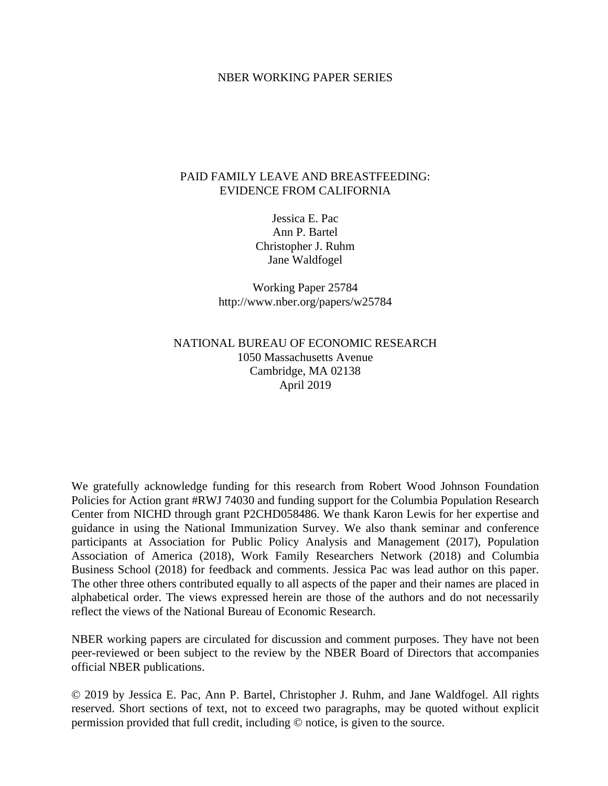#### NBER WORKING PAPER SERIES

# PAID FAMILY LEAVE AND BREASTFEEDING: EVIDENCE FROM CALIFORNIA

Jessica E. Pac Ann P. Bartel Christopher J. Ruhm Jane Waldfogel

Working Paper 25784 http://www.nber.org/papers/w25784

# NATIONAL BUREAU OF ECONOMIC RESEARCH 1050 Massachusetts Avenue Cambridge, MA 02138 April 2019

We gratefully acknowledge funding for this research from Robert Wood Johnson Foundation Policies for Action grant #RWJ 74030 and funding support for the Columbia Population Research Center from NICHD through grant P2CHD058486. We thank Karon Lewis for her expertise and guidance in using the National Immunization Survey. We also thank seminar and conference participants at Association for Public Policy Analysis and Management (2017), Population Association of America (2018), Work Family Researchers Network (2018) and Columbia Business School (2018) for feedback and comments. Jessica Pac was lead author on this paper. The other three others contributed equally to all aspects of the paper and their names are placed in alphabetical order. The views expressed herein are those of the authors and do not necessarily reflect the views of the National Bureau of Economic Research.

NBER working papers are circulated for discussion and comment purposes. They have not been peer-reviewed or been subject to the review by the NBER Board of Directors that accompanies official NBER publications.

© 2019 by Jessica E. Pac, Ann P. Bartel, Christopher J. Ruhm, and Jane Waldfogel. All rights reserved. Short sections of text, not to exceed two paragraphs, may be quoted without explicit permission provided that full credit, including © notice, is given to the source.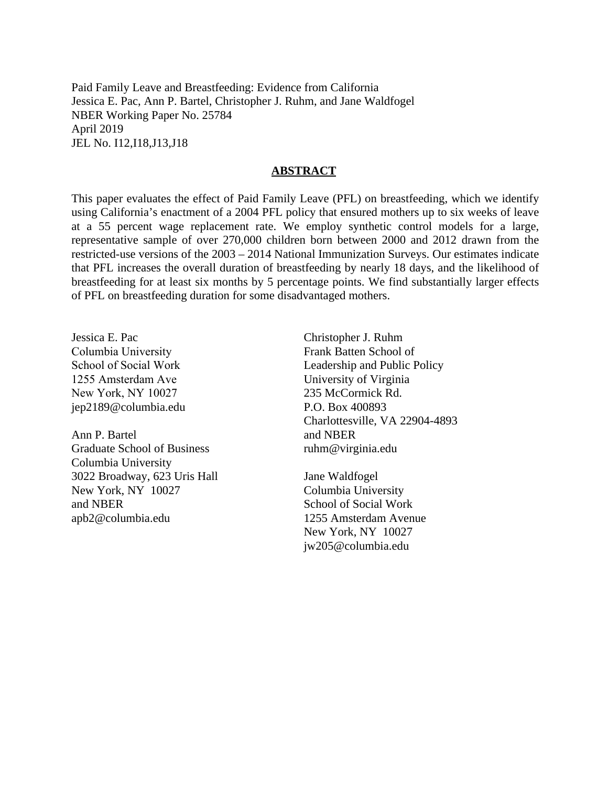Paid Family Leave and Breastfeeding: Evidence from California Jessica E. Pac, Ann P. Bartel, Christopher J. Ruhm, and Jane Waldfogel NBER Working Paper No. 25784 April 2019 JEL No. I12,I18,J13,J18

#### **ABSTRACT**

This paper evaluates the effect of Paid Family Leave (PFL) on breastfeeding, which we identify using California's enactment of a 2004 PFL policy that ensured mothers up to six weeks of leave at a 55 percent wage replacement rate. We employ synthetic control models for a large, representative sample of over 270,000 children born between 2000 and 2012 drawn from the restricted-use versions of the 2003 – 2014 National Immunization Surveys. Our estimates indicate that PFL increases the overall duration of breastfeeding by nearly 18 days, and the likelihood of breastfeeding for at least six months by 5 percentage points. We find substantially larger effects of PFL on breastfeeding duration for some disadvantaged mothers.

Jessica E. Pac Columbia University School of Social Work 1255 Amsterdam Ave New York, NY 10027 jep2189@columbia.edu

Ann P. Bartel Graduate School of Business Columbia University 3022 Broadway, 623 Uris Hall New York, NY 10027 and NBER apb2@columbia.edu

Christopher J. Ruhm Frank Batten School of Leadership and Public Policy University of Virginia 235 McCormick Rd. P.O. Box 400893 Charlottesville, VA 22904-4893 and NBER ruhm@virginia.edu

Jane Waldfogel Columbia University School of Social Work 1255 Amsterdam Avenue New York, NY 10027 jw205@columbia.edu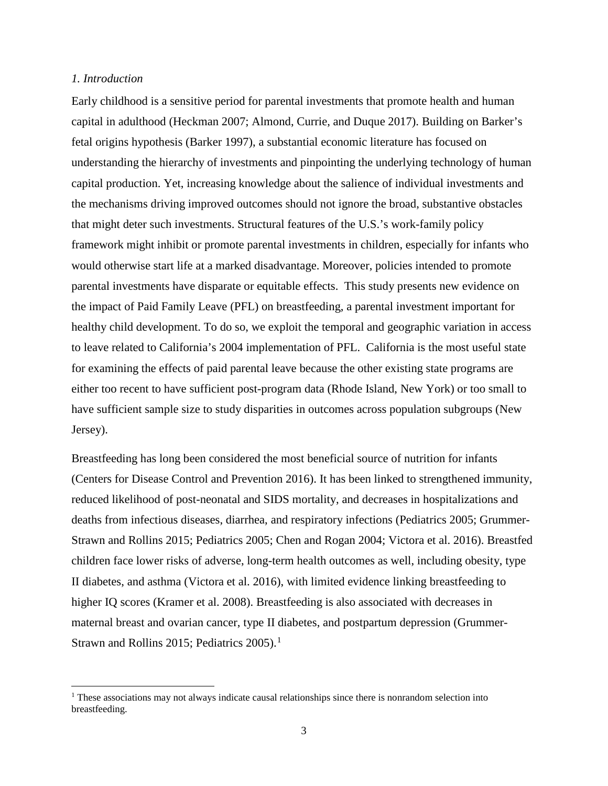## *1. Introduction*

l

Early childhood is a sensitive period for parental investments that promote health and human capital in adulthood (Heckman 2007; Almond, Currie, and Duque 2017). Building on Barker's fetal origins hypothesis (Barker 1997), a substantial economic literature has focused on understanding the hierarchy of investments and pinpointing the underlying technology of human capital production. Yet, increasing knowledge about the salience of individual investments and the mechanisms driving improved outcomes should not ignore the broad, substantive obstacles that might deter such investments. Structural features of the U.S.'s work-family policy framework might inhibit or promote parental investments in children, especially for infants who would otherwise start life at a marked disadvantage. Moreover, policies intended to promote parental investments have disparate or equitable effects. This study presents new evidence on the impact of Paid Family Leave (PFL) on breastfeeding, a parental investment important for healthy child development. To do so, we exploit the temporal and geographic variation in access to leave related to California's 2004 implementation of PFL. California is the most useful state for examining the effects of paid parental leave because the other existing state programs are either too recent to have sufficient post-program data (Rhode Island, New York) or too small to have sufficient sample size to study disparities in outcomes across population subgroups (New Jersey).

Breastfeeding has long been considered the most beneficial source of nutrition for infants (Centers for Disease Control and Prevention 2016). It has been linked to strengthened immunity, reduced likelihood of post-neonatal and SIDS mortality, and decreases in hospitalizations and deaths from infectious diseases, diarrhea, and respiratory infections (Pediatrics 2005; Grummer-Strawn and Rollins 2015; Pediatrics 2005; Chen and Rogan 2004; Victora et al. 2016). Breastfed children face lower risks of adverse, long-term health outcomes as well, including obesity, type II diabetes, and asthma (Victora et al. 2016), with limited evidence linking breastfeeding to higher IQ scores (Kramer et al. 2008). Breastfeeding is also associated with decreases in maternal breast and ovarian cancer, type II diabetes, and postpartum depression (Grummer-Strawn and Rollins 20[1](#page-2-0)5; Pediatrics  $2005$ .<sup>1</sup>

<span id="page-2-0"></span> $<sup>1</sup>$  These associations may not always indicate causal relationships since there is nonrandom selection into</sup> breastfeeding.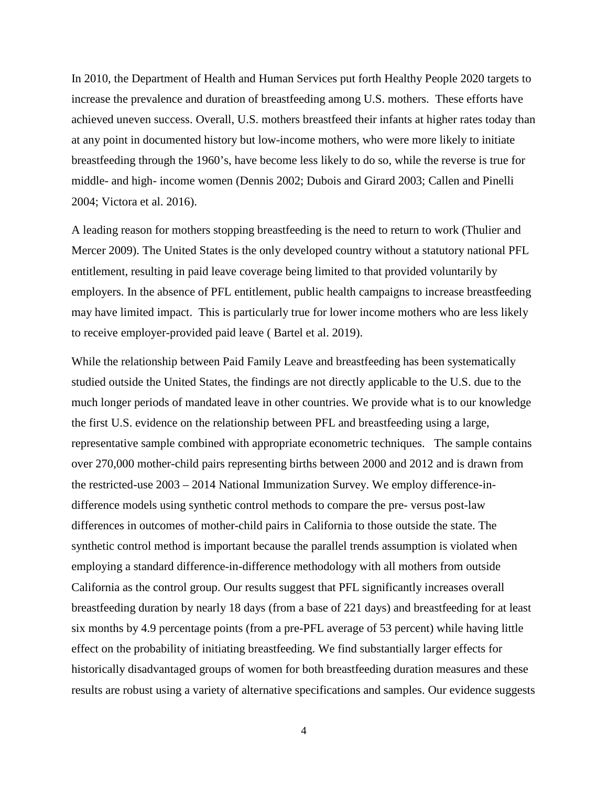In 2010, the Department of Health and Human Services put forth Healthy People 2020 targets to increase the prevalence and duration of breastfeeding among U.S. mothers. These efforts have achieved uneven success. Overall, U.S. mothers breastfeed their infants at higher rates today than at any point in documented history but low-income mothers, who were more likely to initiate breastfeeding through the 1960's, have become less likely to do so, while the reverse is true for middle- and high- income women (Dennis 2002; Dubois and Girard 2003; Callen and Pinelli 2004; Victora et al. 2016).

A leading reason for mothers stopping breastfeeding is the need to return to work (Thulier and Mercer 2009). The United States is the only developed country without a statutory national PFL entitlement, resulting in paid leave coverage being limited to that provided voluntarily by employers. In the absence of PFL entitlement, public health campaigns to increase breastfeeding may have limited impact. This is particularly true for lower income mothers who are less likely to receive employer-provided paid leave ( Bartel et al. 2019).

While the relationship between Paid Family Leave and breastfeeding has been systematically studied outside the United States, the findings are not directly applicable to the U.S. due to the much longer periods of mandated leave in other countries. We provide what is to our knowledge the first U.S. evidence on the relationship between PFL and breastfeeding using a large, representative sample combined with appropriate econometric techniques. The sample contains over 270,000 mother-child pairs representing births between 2000 and 2012 and is drawn from the restricted-use 2003 – 2014 National Immunization Survey. We employ difference-indifference models using synthetic control methods to compare the pre- versus post-law differences in outcomes of mother-child pairs in California to those outside the state. The synthetic control method is important because the parallel trends assumption is violated when employing a standard difference-in-difference methodology with all mothers from outside California as the control group. Our results suggest that PFL significantly increases overall breastfeeding duration by nearly 18 days (from a base of 221 days) and breastfeeding for at least six months by 4.9 percentage points (from a pre-PFL average of 53 percent) while having little effect on the probability of initiating breastfeeding. We find substantially larger effects for historically disadvantaged groups of women for both breastfeeding duration measures and these results are robust using a variety of alternative specifications and samples. Our evidence suggests

4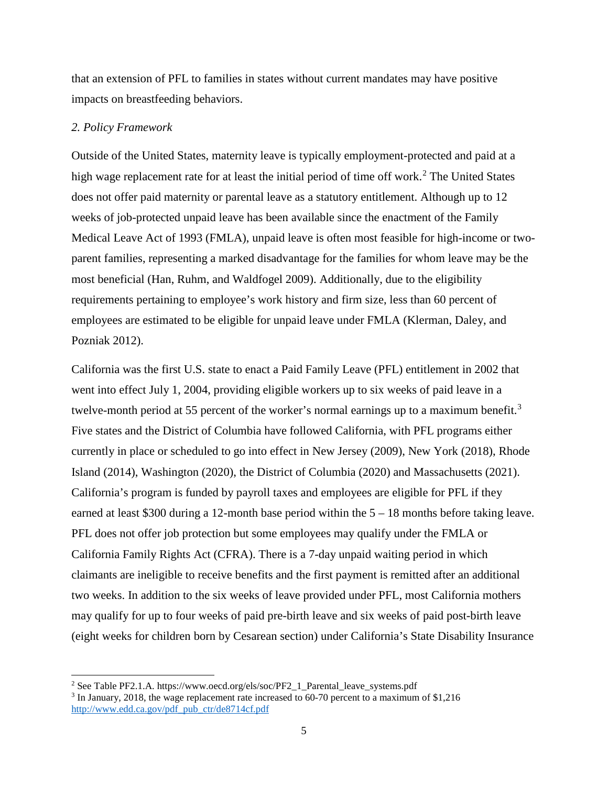that an extension of PFL to families in states without current mandates may have positive impacts on breastfeeding behaviors.

#### *2. Policy Framework*

l

Outside of the United States, maternity leave is typically employment-protected and paid at a high wage replacement rate for at least the initial period of time off work. [2](#page-4-0) The United States does not offer paid maternity or parental leave as a statutory entitlement. Although up to 12 weeks of job-protected unpaid leave has been available since the enactment of the Family Medical Leave Act of 1993 (FMLA), unpaid leave is often most feasible for high-income or twoparent families, representing a marked disadvantage for the families for whom leave may be the most beneficial (Han, Ruhm, and Waldfogel 2009). Additionally, due to the eligibility requirements pertaining to employee's work history and firm size, less than 60 percent of employees are estimated to be eligible for unpaid leave under FMLA (Klerman, Daley, and Pozniak 2012).

California was the first U.S. state to enact a Paid Family Leave (PFL) entitlement in 2002 that went into effect July 1, 2004, providing eligible workers up to six weeks of paid leave in a twelve-month period at 55 percent of the worker's normal earnings up to a maximum benefit.<sup>[3](#page-4-1)</sup> Five states and the District of Columbia have followed California, with PFL programs either currently in place or scheduled to go into effect in New Jersey (2009), New York (2018), Rhode Island (2014), Washington (2020), the District of Columbia (2020) and Massachusetts (2021). California's program is funded by payroll taxes and employees are eligible for PFL if they earned at least \$300 during a 12-month base period within the 5 – 18 months before taking leave. PFL does not offer job protection but some employees may qualify under the FMLA or California Family Rights Act (CFRA). There is a 7-day unpaid waiting period in which claimants are ineligible to receive benefits and the first payment is remitted after an additional two weeks. In addition to the six weeks of leave provided under PFL, most California mothers may qualify for up to four weeks of paid pre-birth leave and six weeks of paid post-birth leave (eight weeks for children born by Cesarean section) under California's State Disability Insurance

<span id="page-4-0"></span><sup>&</sup>lt;sup>2</sup> See Table PF2.1.A. https://www.oecd.org/els/soc/PF2\_1\_Parental\_leave\_systems.pdf

<span id="page-4-1"></span><sup>3</sup> In January, 2018, the wage replacement rate increased to 60-70 percent to a maximum of \$1,216 [http://www.edd.ca.gov/pdf\\_pub\\_ctr/de8714cf.pdf](http://www.edd.ca.gov/pdf_pub_ctr/de8714cf.pdf)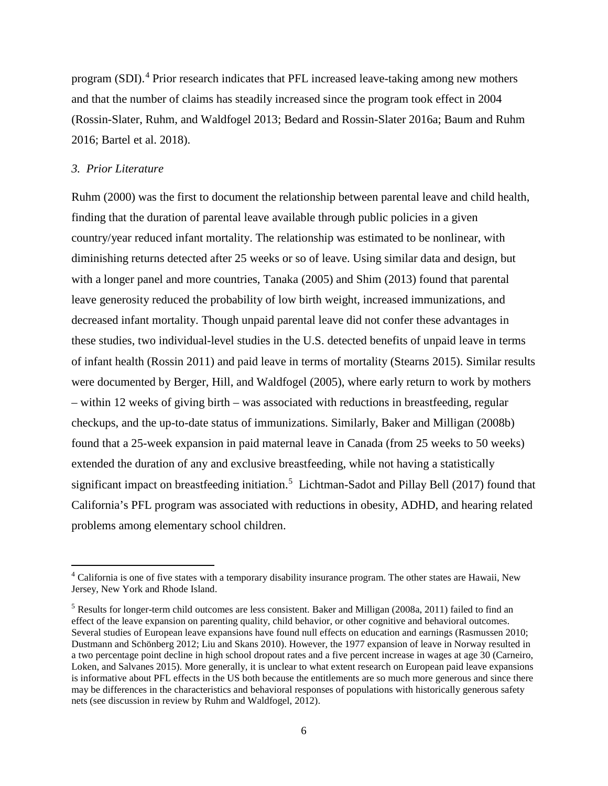program (SDI).<sup>[4](#page-5-0)</sup> Prior research indicates that PFL increased leave-taking among new mothers and that the number of claims has steadily increased since the program took effect in 2004 (Rossin-Slater, Ruhm, and Waldfogel 2013; Bedard and Rossin-Slater 2016a; Baum and Ruhm 2016; Bartel et al. 2018).

## *3. Prior Literature*

 $\overline{\phantom{a}}$ 

Ruhm (2000) was the first to document the relationship between parental leave and child health, finding that the duration of parental leave available through public policies in a given country/year reduced infant mortality. The relationship was estimated to be nonlinear, with diminishing returns detected after 25 weeks or so of leave. Using similar data and design, but with a longer panel and more countries, Tanaka (2005) and Shim (2013) found that parental leave generosity reduced the probability of low birth weight, increased immunizations, and decreased infant mortality. Though unpaid parental leave did not confer these advantages in these studies, two individual-level studies in the U.S. detected benefits of unpaid leave in terms of infant health (Rossin 2011) and paid leave in terms of mortality (Stearns 2015). Similar results were documented by Berger, Hill, and Waldfogel (2005), where early return to work by mothers – within 12 weeks of giving birth – was associated with reductions in breastfeeding, regular checkups, and the up-to-date status of immunizations. Similarly, Baker and Milligan (2008b) found that a 25-week expansion in paid maternal leave in Canada (from 25 weeks to 50 weeks) extended the duration of any and exclusive breastfeeding, while not having a statistically significant impact on breastfeeding initiation.<sup>[5](#page-5-1)</sup> Lichtman-Sadot and Pillay Bell (2017) found that California's PFL program was associated with reductions in obesity, ADHD, and hearing related problems among elementary school children.

<span id="page-5-0"></span><sup>4</sup> California is one of five states with a temporary disability insurance program. The other states are Hawaii, New Jersey, New York and Rhode Island.

<span id="page-5-1"></span><sup>5</sup> Results for longer-term child outcomes are less consistent. Baker and Milligan (2008a, 2011) failed to find an effect of the leave expansion on parenting quality, child behavior, or other cognitive and behavioral outcomes. Several studies of European leave expansions have found null effects on education and earnings (Rasmussen 2010; Dustmann and Schönberg 2012; Liu and Skans 2010). However, the 1977 expansion of leave in Norway resulted in a two percentage point decline in high school dropout rates and a five percent increase in wages at age 30 (Carneiro, Loken, and Salvanes 2015). More generally, it is unclear to what extent research on European paid leave expansions is informative about PFL effects in the US both because the entitlements are so much more generous and since there may be differences in the characteristics and behavioral responses of populations with historically generous safety nets (see discussion in review by Ruhm and Waldfogel, 2012).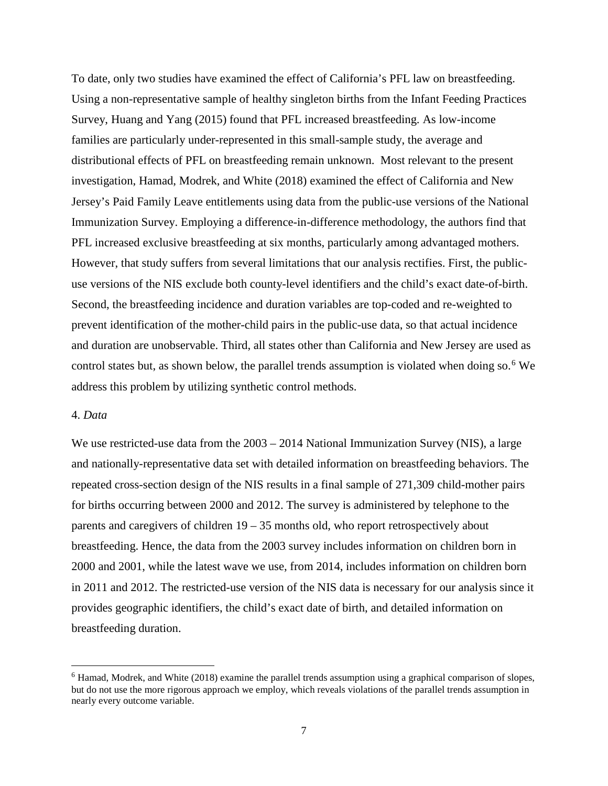To date, only two studies have examined the effect of California's PFL law on breastfeeding. Using a non-representative sample of healthy singleton births from the Infant Feeding Practices Survey, Huang and Yang (2015) found that PFL increased breastfeeding. As low-income families are particularly under-represented in this small-sample study, the average and distributional effects of PFL on breastfeeding remain unknown. Most relevant to the present investigation, Hamad, Modrek, and White (2018) examined the effect of California and New Jersey's Paid Family Leave entitlements using data from the public-use versions of the National Immunization Survey. Employing a difference-in-difference methodology, the authors find that PFL increased exclusive breastfeeding at six months, particularly among advantaged mothers. However, that study suffers from several limitations that our analysis rectifies. First, the publicuse versions of the NIS exclude both county-level identifiers and the child's exact date-of-birth. Second, the breastfeeding incidence and duration variables are top-coded and re-weighted to prevent identification of the mother-child pairs in the public-use data, so that actual incidence and duration are unobservable. Third, all states other than California and New Jersey are used as control states but, as shown below, the parallel trends assumption is violated when doing so.<sup>[6](#page-6-0)</sup> We address this problem by utilizing synthetic control methods.

# 4. *Data*

l

We use restricted-use data from the  $2003 - 2014$  National Immunization Survey (NIS), a large and nationally-representative data set with detailed information on breastfeeding behaviors. The repeated cross-section design of the NIS results in a final sample of 271,309 child-mother pairs for births occurring between 2000 and 2012. The survey is administered by telephone to the parents and caregivers of children 19 – 35 months old, who report retrospectively about breastfeeding. Hence, the data from the 2003 survey includes information on children born in 2000 and 2001, while the latest wave we use, from 2014, includes information on children born in 2011 and 2012. The restricted-use version of the NIS data is necessary for our analysis since it provides geographic identifiers, the child's exact date of birth, and detailed information on breastfeeding duration.

<span id="page-6-0"></span> $<sup>6</sup>$  Hamad, Modrek, and White (2018) examine the parallel trends assumption using a graphical comparison of slopes,</sup> but do not use the more rigorous approach we employ, which reveals violations of the parallel trends assumption in nearly every outcome variable.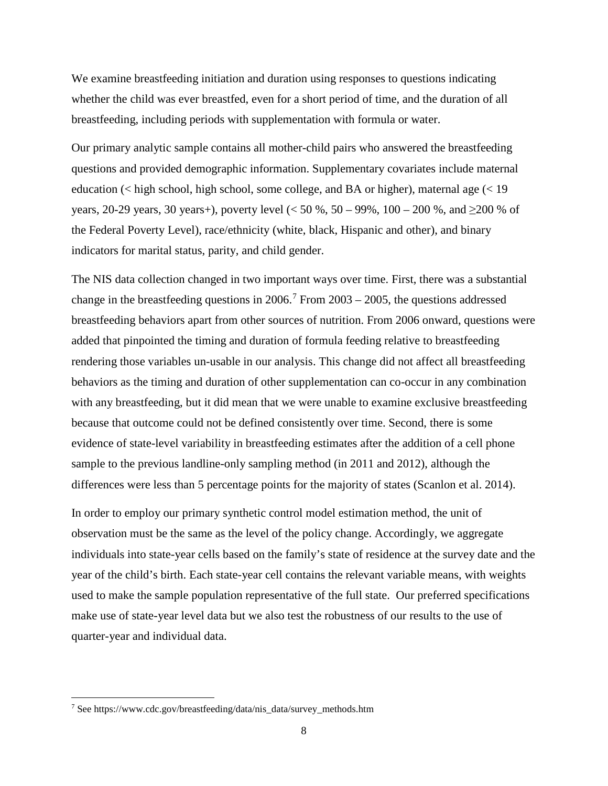We examine breastfeeding initiation and duration using responses to questions indicating whether the child was ever breastfed, even for a short period of time, and the duration of all breastfeeding, including periods with supplementation with formula or water.

Our primary analytic sample contains all mother-child pairs who answered the breastfeeding questions and provided demographic information. Supplementary covariates include maternal education (< high school, high school, some college, and BA or higher), maternal age (< 19 years, 20-29 years, 30 years+), poverty level ( $< 50 \%$ , 50 – 99%, 100 – 200%, and  $\geq 200 \%$  of the Federal Poverty Level), race/ethnicity (white, black, Hispanic and other), and binary indicators for marital status, parity, and child gender.

The NIS data collection changed in two important ways over time. First, there was a substantial change in the breastfeeding questions in  $2006$ .<sup>[7](#page-7-0)</sup> From  $2003 - 2005$ , the questions addressed breastfeeding behaviors apart from other sources of nutrition. From 2006 onward, questions were added that pinpointed the timing and duration of formula feeding relative to breastfeeding rendering those variables un-usable in our analysis. This change did not affect all breastfeeding behaviors as the timing and duration of other supplementation can co-occur in any combination with any breastfeeding, but it did mean that we were unable to examine exclusive breastfeeding because that outcome could not be defined consistently over time. Second, there is some evidence of state-level variability in breastfeeding estimates after the addition of a cell phone sample to the previous landline-only sampling method (in 2011 and 2012), although the differences were less than 5 percentage points for the majority of states (Scanlon et al. 2014).

In order to employ our primary synthetic control model estimation method, the unit of observation must be the same as the level of the policy change. Accordingly, we aggregate individuals into state-year cells based on the family's state of residence at the survey date and the year of the child's birth. Each state-year cell contains the relevant variable means, with weights used to make the sample population representative of the full state. Our preferred specifications make use of state-year level data but we also test the robustness of our results to the use of quarter-year and individual data.

l

<span id="page-7-0"></span><sup>7</sup> See https://www.cdc.gov/breastfeeding/data/nis\_data/survey\_methods.htm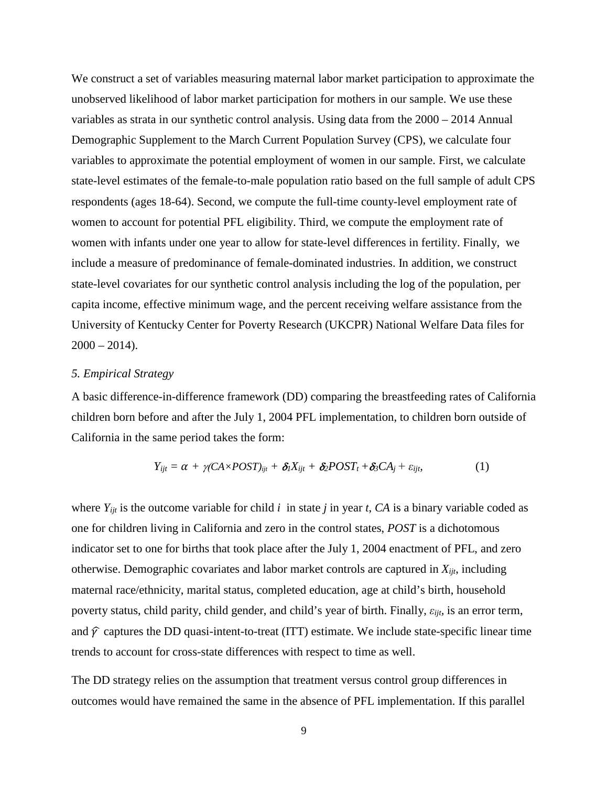We construct a set of variables measuring maternal labor market participation to approximate the unobserved likelihood of labor market participation for mothers in our sample. We use these variables as strata in our synthetic control analysis. Using data from the 2000 – 2014 Annual Demographic Supplement to the March Current Population Survey (CPS), we calculate four variables to approximate the potential employment of women in our sample. First, we calculate state-level estimates of the female-to-male population ratio based on the full sample of adult CPS respondents (ages 18-64). Second, we compute the full-time county-level employment rate of women to account for potential PFL eligibility. Third, we compute the employment rate of women with infants under one year to allow for state-level differences in fertility. Finally, we include a measure of predominance of female-dominated industries. In addition, we construct state-level covariates for our synthetic control analysis including the log of the population, per capita income, effective minimum wage, and the percent receiving welfare assistance from the University of Kentucky Center for Poverty Research (UKCPR) National Welfare Data files for  $2000 - 2014$ .

# *5. Empirical Strategy*

A basic difference-in-difference framework (DD) comparing the breastfeeding rates of California children born before and after the July 1, 2004 PFL implementation, to children born outside of California in the same period takes the form:

$$
Y_{ijt} = \alpha + \gamma (CA \times POST)_{ijt} + \delta_l X_{ijt} + \delta_2 POST_t + \delta_3 CA_j + \varepsilon_{ijt},
$$
\n(1)

where  $Y_{ijt}$  is the outcome variable for child *i* in state *j* in year *t*, *CA* is a binary variable coded as one for children living in California and zero in the control states, *POST* is a dichotomous indicator set to one for births that took place after the July 1, 2004 enactment of PFL, and zero otherwise. Demographic covariates and labor market controls are captured in *Xijt*, including maternal race/ethnicity, marital status, completed education, age at child's birth, household poverty status, child parity, child gender, and child's year of birth. Finally, *εijt,* is an error term, and  $\hat{y}$  captures the DD quasi-intent-to-treat (ITT) estimate. We include state-specific linear time trends to account for cross-state differences with respect to time as well.

The DD strategy relies on the assumption that treatment versus control group differences in outcomes would have remained the same in the absence of PFL implementation. If this parallel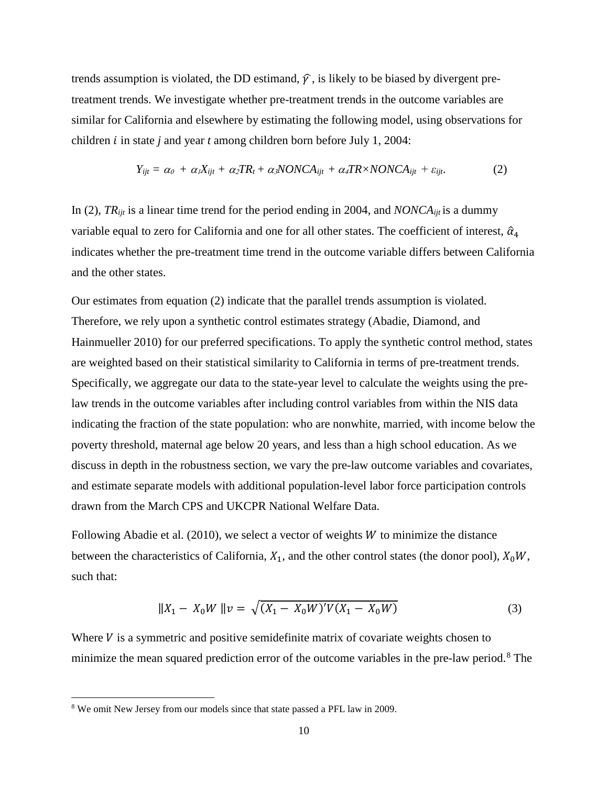trends assumption is violated, the DD estimand,  $\hat{y}$ , is likely to be biased by divergent pretreatment trends. We investigate whether pre-treatment trends in the outcome variables are similar for California and elsewhere by estimating the following model, using observations for children *i* in state *j* and year *t* among children born before July 1, 2004:

$$
Y_{ijt} = \alpha_0 + \alpha_1 X_{ijt} + \alpha_2 TR_t + \alpha_3 NONCA_{ijt} + \alpha_4 TR \times NONCA_{ijt} + \varepsilon_{ijt}.
$$
 (2)

In (2), *TRijt* is a linear time trend for the period ending in 2004, and *NONCAijt* is a dummy variable equal to zero for California and one for all other states. The coefficient of interest,  $\hat{\alpha}_4$ indicates whether the pre-treatment time trend in the outcome variable differs between California and the other states.

Our estimates from equation (2) indicate that the parallel trends assumption is violated. Therefore, we rely upon a synthetic control estimates strategy (Abadie, Diamond, and Hainmueller 2010) for our preferred specifications. To apply the synthetic control method, states are weighted based on their statistical similarity to California in terms of pre-treatment trends. Specifically, we aggregate our data to the state-year level to calculate the weights using the prelaw trends in the outcome variables after including control variables from within the NIS data indicating the fraction of the state population: who are nonwhite, married, with income below the poverty threshold, maternal age below 20 years, and less than a high school education. As we discuss in depth in the robustness section, we vary the pre-law outcome variables and covariates, and estimate separate models with additional population-level labor force participation controls drawn from the March CPS and UKCPR National Welfare Data.

Following Abadie et al.  $(2010)$ , we select a vector of weights *W* to minimize the distance between the characteristics of California,  $X_1$ , and the other control states (the donor pool),  $X_0W$ , such that:

$$
||X_1 - X_0 W||v = \sqrt{(X_1 - X_0 W)'V(X_1 - X_0 W)}
$$
\n(3)

Where  $V$  is a symmetric and positive semidefinite matrix of covariate weights chosen to minimize the mean squared prediction error of the outcome variables in the pre-law period.<sup>[8](#page-9-0)</sup> The

l

<span id="page-9-0"></span><sup>8</sup> We omit New Jersey from our models since that state passed a PFL law in 2009.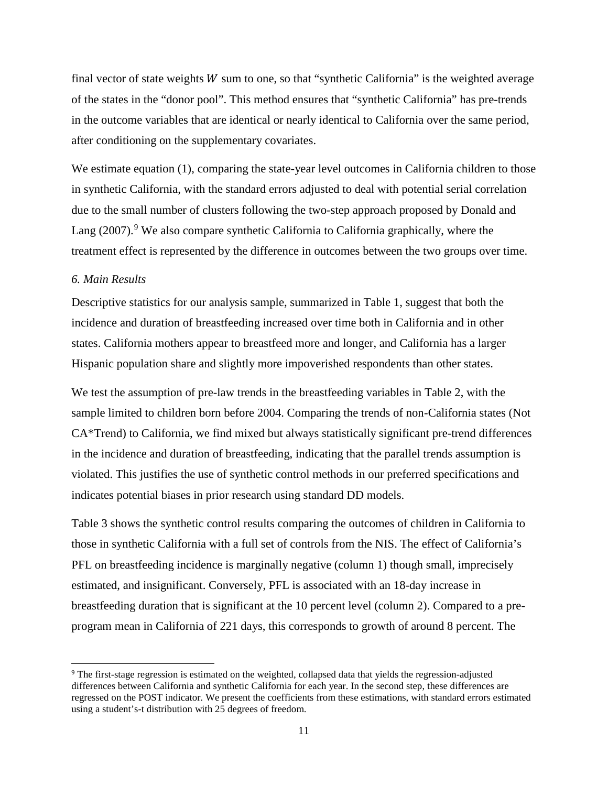final vector of state weights  $W$  sum to one, so that "synthetic California" is the weighted average of the states in the "donor pool". This method ensures that "synthetic California" has pre-trends in the outcome variables that are identical or nearly identical to California over the same period, after conditioning on the supplementary covariates.

We estimate equation (1), comparing the state-year level outcomes in California children to those in synthetic California, with the standard errors adjusted to deal with potential serial correlation due to the small number of clusters following the two-step approach proposed by Donald and Lang  $(2007)$ .<sup>[9](#page-10-0)</sup> We also compare synthetic California to California graphically, where the treatment effect is represented by the difference in outcomes between the two groups over time.

# *6. Main Results*

l

Descriptive statistics for our analysis sample, summarized in Table 1, suggest that both the incidence and duration of breastfeeding increased over time both in California and in other states. California mothers appear to breastfeed more and longer, and California has a larger Hispanic population share and slightly more impoverished respondents than other states.

We test the assumption of pre-law trends in the breastfeeding variables in Table 2, with the sample limited to children born before 2004. Comparing the trends of non-California states (Not CA\*Trend) to California, we find mixed but always statistically significant pre-trend differences in the incidence and duration of breastfeeding, indicating that the parallel trends assumption is violated. This justifies the use of synthetic control methods in our preferred specifications and indicates potential biases in prior research using standard DD models.

Table 3 shows the synthetic control results comparing the outcomes of children in California to those in synthetic California with a full set of controls from the NIS. The effect of California's PFL on breastfeeding incidence is marginally negative (column 1) though small, imprecisely estimated, and insignificant. Conversely, PFL is associated with an 18-day increase in breastfeeding duration that is significant at the 10 percent level (column 2). Compared to a preprogram mean in California of 221 days, this corresponds to growth of around 8 percent. The

<span id="page-10-0"></span><sup>9</sup> The first-stage regression is estimated on the weighted, collapsed data that yields the regression-adjusted differences between California and synthetic California for each year. In the second step, these differences are regressed on the POST indicator. We present the coefficients from these estimations, with standard errors estimated using a student's-t distribution with 25 degrees of freedom.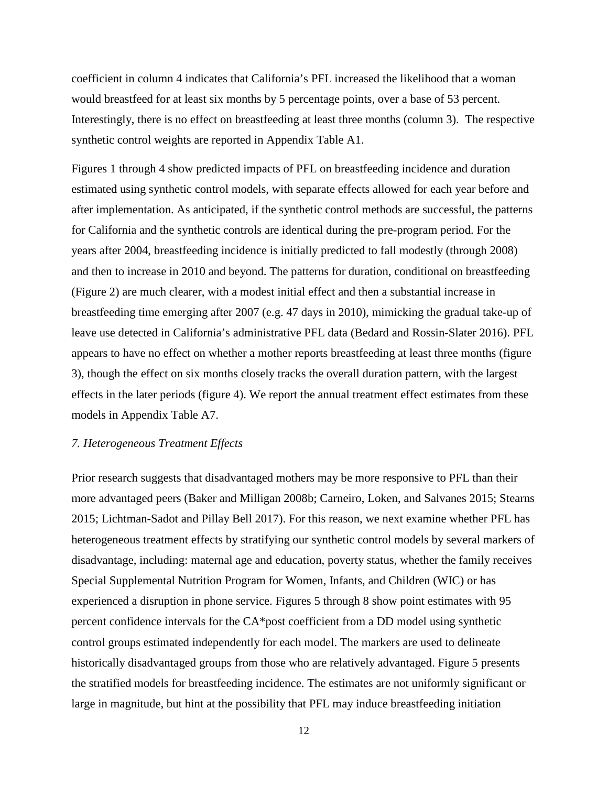coefficient in column 4 indicates that California's PFL increased the likelihood that a woman would breastfeed for at least six months by 5 percentage points, over a base of 53 percent. Interestingly, there is no effect on breastfeeding at least three months (column 3). The respective synthetic control weights are reported in Appendix Table A1.

Figures 1 through 4 show predicted impacts of PFL on breastfeeding incidence and duration estimated using synthetic control models, with separate effects allowed for each year before and after implementation. As anticipated, if the synthetic control methods are successful, the patterns for California and the synthetic controls are identical during the pre-program period. For the years after 2004, breastfeeding incidence is initially predicted to fall modestly (through 2008) and then to increase in 2010 and beyond. The patterns for duration, conditional on breastfeeding (Figure 2) are much clearer, with a modest initial effect and then a substantial increase in breastfeeding time emerging after 2007 (e.g. 47 days in 2010), mimicking the gradual take-up of leave use detected in California's administrative PFL data (Bedard and Rossin-Slater 2016). PFL appears to have no effect on whether a mother reports breastfeeding at least three months (figure 3), though the effect on six months closely tracks the overall duration pattern, with the largest effects in the later periods (figure 4). We report the annual treatment effect estimates from these models in Appendix Table A7.

#### *7. Heterogeneous Treatment Effects*

Prior research suggests that disadvantaged mothers may be more responsive to PFL than their more advantaged peers (Baker and Milligan 2008b; Carneiro, Loken, and Salvanes 2015; Stearns 2015; Lichtman-Sadot and Pillay Bell 2017). For this reason, we next examine whether PFL has heterogeneous treatment effects by stratifying our synthetic control models by several markers of disadvantage, including: maternal age and education, poverty status, whether the family receives Special Supplemental Nutrition Program for Women, Infants, and Children (WIC) or has experienced a disruption in phone service. Figures 5 through 8 show point estimates with 95 percent confidence intervals for the CA\*post coefficient from a DD model using synthetic control groups estimated independently for each model. The markers are used to delineate historically disadvantaged groups from those who are relatively advantaged. Figure 5 presents the stratified models for breastfeeding incidence. The estimates are not uniformly significant or large in magnitude, but hint at the possibility that PFL may induce breastfeeding initiation

12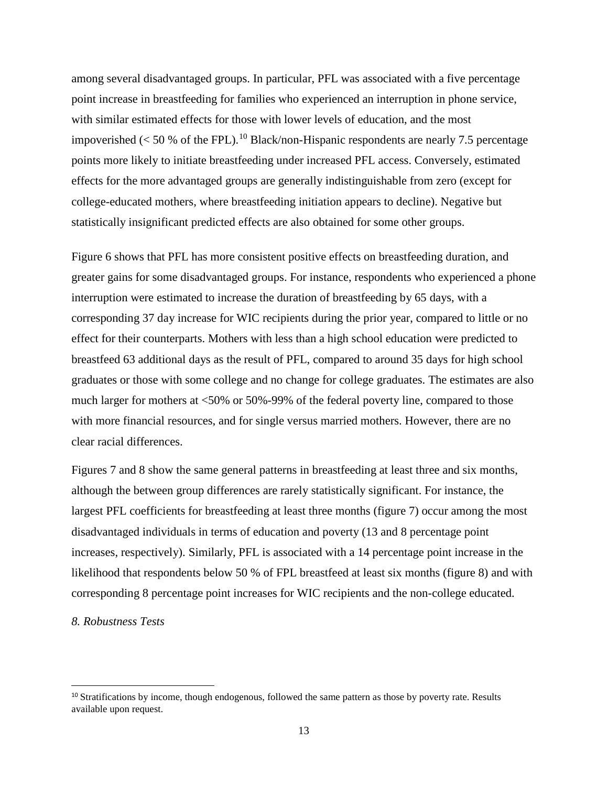among several disadvantaged groups. In particular, PFL was associated with a five percentage point increase in breastfeeding for families who experienced an interruption in phone service, with similar estimated effects for those with lower levels of education, and the most impoverished ( $<$  50 % of the FPL).<sup>[10](#page-12-0)</sup> Black/non-Hispanic respondents are nearly 7.5 percentage points more likely to initiate breastfeeding under increased PFL access. Conversely, estimated effects for the more advantaged groups are generally indistinguishable from zero (except for college-educated mothers, where breastfeeding initiation appears to decline). Negative but statistically insignificant predicted effects are also obtained for some other groups.

Figure 6 shows that PFL has more consistent positive effects on breastfeeding duration, and greater gains for some disadvantaged groups. For instance, respondents who experienced a phone interruption were estimated to increase the duration of breastfeeding by 65 days, with a corresponding 37 day increase for WIC recipients during the prior year, compared to little or no effect for their counterparts. Mothers with less than a high school education were predicted to breastfeed 63 additional days as the result of PFL, compared to around 35 days for high school graduates or those with some college and no change for college graduates. The estimates are also much larger for mothers at <50% or 50%-99% of the federal poverty line, compared to those with more financial resources, and for single versus married mothers. However, there are no clear racial differences.

Figures 7 and 8 show the same general patterns in breastfeeding at least three and six months, although the between group differences are rarely statistically significant. For instance, the largest PFL coefficients for breastfeeding at least three months (figure 7) occur among the most disadvantaged individuals in terms of education and poverty (13 and 8 percentage point increases, respectively). Similarly, PFL is associated with a 14 percentage point increase in the likelihood that respondents below 50 % of FPL breastfeed at least six months (figure 8) and with corresponding 8 percentage point increases for WIC recipients and the non-college educated.

# *8. Robustness Tests*

 $\overline{\phantom{a}}$ 

<span id="page-12-0"></span><sup>&</sup>lt;sup>10</sup> Stratifications by income, though endogenous, followed the same pattern as those by poverty rate. Results available upon request.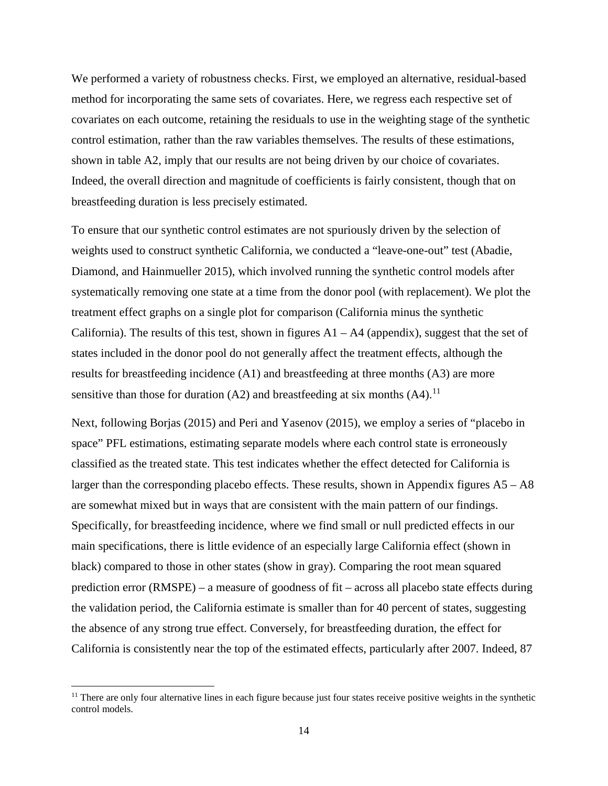We performed a variety of robustness checks. First, we employed an alternative, residual-based method for incorporating the same sets of covariates. Here, we regress each respective set of covariates on each outcome, retaining the residuals to use in the weighting stage of the synthetic control estimation, rather than the raw variables themselves. The results of these estimations, shown in table A2, imply that our results are not being driven by our choice of covariates. Indeed, the overall direction and magnitude of coefficients is fairly consistent, though that on breastfeeding duration is less precisely estimated.

To ensure that our synthetic control estimates are not spuriously driven by the selection of weights used to construct synthetic California, we conducted a "leave-one-out" test (Abadie, Diamond, and Hainmueller 2015), which involved running the synthetic control models after systematically removing one state at a time from the donor pool (with replacement). We plot the treatment effect graphs on a single plot for comparison (California minus the synthetic California). The results of this test, shown in figures  $A1 - A4$  (appendix), suggest that the set of states included in the donor pool do not generally affect the treatment effects, although the results for breastfeeding incidence (A1) and breastfeeding at three months (A3) are more sensitive than those for duration  $(A2)$  and breastfeeding at six months  $(A4)$ .<sup>[11](#page-13-0)</sup>

Next, following Borjas (2015) and Peri and Yasenov (2015), we employ a series of "placebo in space" PFL estimations, estimating separate models where each control state is erroneously classified as the treated state. This test indicates whether the effect detected for California is larger than the corresponding placebo effects. These results, shown in Appendix figures A5 – A8 are somewhat mixed but in ways that are consistent with the main pattern of our findings. Specifically, for breastfeeding incidence, where we find small or null predicted effects in our main specifications, there is little evidence of an especially large California effect (shown in black) compared to those in other states (show in gray). Comparing the root mean squared prediction error (RMSPE) – a measure of goodness of fit – across all placebo state effects during the validation period, the California estimate is smaller than for 40 percent of states, suggesting the absence of any strong true effect. Conversely, for breastfeeding duration, the effect for California is consistently near the top of the estimated effects, particularly after 2007. Indeed, 87

l

<span id="page-13-0"></span> $<sup>11</sup>$  There are only four alternative lines in each figure because just four states receive positive weights in the synthetic</sup> control models.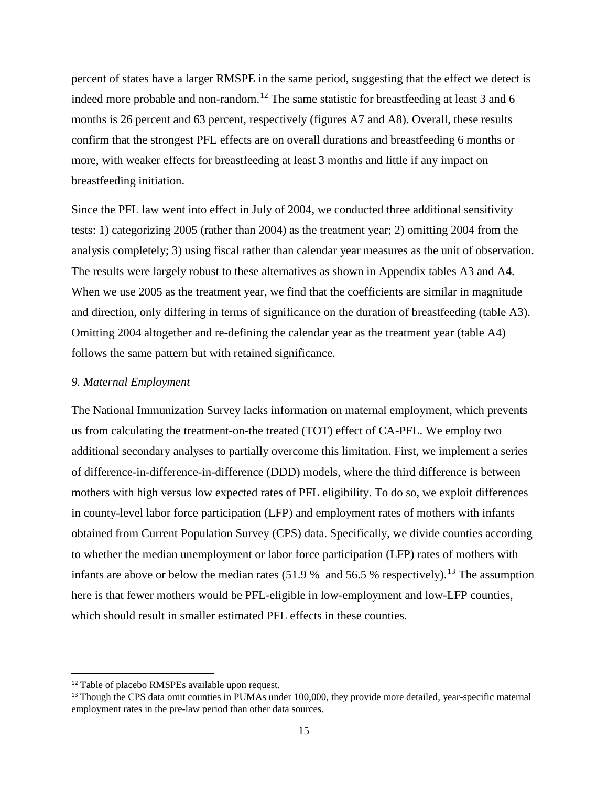percent of states have a larger RMSPE in the same period, suggesting that the effect we detect is indeed more probable and non-random.<sup>[12](#page-14-0)</sup> The same statistic for breastfeeding at least 3 and 6 months is 26 percent and 63 percent, respectively (figures A7 and A8). Overall, these results confirm that the strongest PFL effects are on overall durations and breastfeeding 6 months or more, with weaker effects for breastfeeding at least 3 months and little if any impact on breastfeeding initiation.

Since the PFL law went into effect in July of 2004, we conducted three additional sensitivity tests: 1) categorizing 2005 (rather than 2004) as the treatment year; 2) omitting 2004 from the analysis completely; 3) using fiscal rather than calendar year measures as the unit of observation. The results were largely robust to these alternatives as shown in Appendix tables A3 and A4. When we use 2005 as the treatment year, we find that the coefficients are similar in magnitude and direction, only differing in terms of significance on the duration of breastfeeding (table A3). Omitting 2004 altogether and re-defining the calendar year as the treatment year (table A4) follows the same pattern but with retained significance.

#### *9. Maternal Employment*

The National Immunization Survey lacks information on maternal employment, which prevents us from calculating the treatment-on-the treated (TOT) effect of CA-PFL. We employ two additional secondary analyses to partially overcome this limitation. First, we implement a series of difference-in-difference-in-difference (DDD) models, where the third difference is between mothers with high versus low expected rates of PFL eligibility. To do so, we exploit differences in county-level labor force participation (LFP) and employment rates of mothers with infants obtained from Current Population Survey (CPS) data. Specifically, we divide counties according to whether the median unemployment or labor force participation (LFP) rates of mothers with infants are above or below the median rates  $(51.9 %$  and  $56.5 %$  respectively).<sup>13</sup> The assumption here is that fewer mothers would be PFL-eligible in low-employment and low-LFP counties, which should result in smaller estimated PFL effects in these counties.

l

<span id="page-14-1"></span><span id="page-14-0"></span><sup>&</sup>lt;sup>12</sup> Table of placebo RMSPEs available upon request.<br><sup>13</sup> Though the CPS data omit counties in PUMAs under 100,000, they provide more detailed, year-specific maternal employment rates in the pre-law period than other data sources.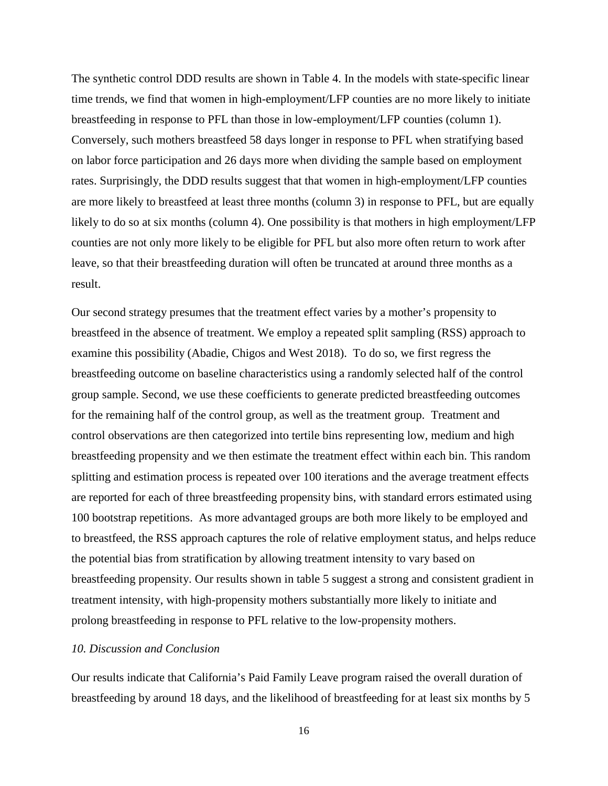The synthetic control DDD results are shown in Table 4. In the models with state-specific linear time trends, we find that women in high-employment/LFP counties are no more likely to initiate breastfeeding in response to PFL than those in low-employment/LFP counties (column 1). Conversely, such mothers breastfeed 58 days longer in response to PFL when stratifying based on labor force participation and 26 days more when dividing the sample based on employment rates. Surprisingly, the DDD results suggest that that women in high-employment/LFP counties are more likely to breastfeed at least three months (column 3) in response to PFL, but are equally likely to do so at six months (column 4). One possibility is that mothers in high employment/LFP counties are not only more likely to be eligible for PFL but also more often return to work after leave, so that their breastfeeding duration will often be truncated at around three months as a result.

Our second strategy presumes that the treatment effect varies by a mother's propensity to breastfeed in the absence of treatment. We employ a repeated split sampling (RSS) approach to examine this possibility (Abadie, Chigos and West 2018). To do so, we first regress the breastfeeding outcome on baseline characteristics using a randomly selected half of the control group sample. Second, we use these coefficients to generate predicted breastfeeding outcomes for the remaining half of the control group, as well as the treatment group. Treatment and control observations are then categorized into tertile bins representing low, medium and high breastfeeding propensity and we then estimate the treatment effect within each bin. This random splitting and estimation process is repeated over 100 iterations and the average treatment effects are reported for each of three breastfeeding propensity bins, with standard errors estimated using 100 bootstrap repetitions. As more advantaged groups are both more likely to be employed and to breastfeed, the RSS approach captures the role of relative employment status, and helps reduce the potential bias from stratification by allowing treatment intensity to vary based on breastfeeding propensity. Our results shown in table 5 suggest a strong and consistent gradient in treatment intensity, with high-propensity mothers substantially more likely to initiate and prolong breastfeeding in response to PFL relative to the low-propensity mothers.

## *10. Discussion and Conclusion*

Our results indicate that California's Paid Family Leave program raised the overall duration of breastfeeding by around 18 days, and the likelihood of breastfeeding for at least six months by 5

16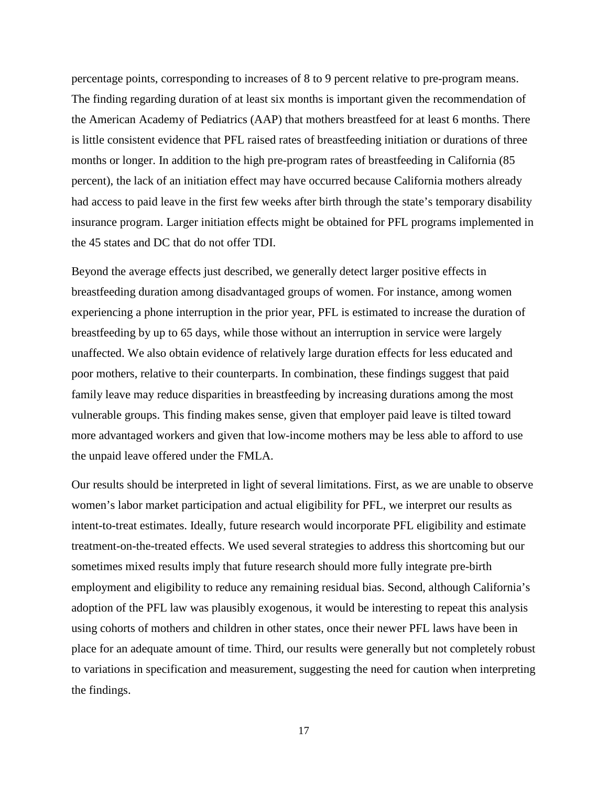percentage points, corresponding to increases of 8 to 9 percent relative to pre-program means. The finding regarding duration of at least six months is important given the recommendation of the American Academy of Pediatrics (AAP) that mothers breastfeed for at least 6 months. There is little consistent evidence that PFL raised rates of breastfeeding initiation or durations of three months or longer. In addition to the high pre-program rates of breastfeeding in California (85 percent), the lack of an initiation effect may have occurred because California mothers already had access to paid leave in the first few weeks after birth through the state's temporary disability insurance program. Larger initiation effects might be obtained for PFL programs implemented in the 45 states and DC that do not offer TDI.

Beyond the average effects just described, we generally detect larger positive effects in breastfeeding duration among disadvantaged groups of women. For instance, among women experiencing a phone interruption in the prior year, PFL is estimated to increase the duration of breastfeeding by up to 65 days, while those without an interruption in service were largely unaffected. We also obtain evidence of relatively large duration effects for less educated and poor mothers, relative to their counterparts. In combination, these findings suggest that paid family leave may reduce disparities in breastfeeding by increasing durations among the most vulnerable groups. This finding makes sense, given that employer paid leave is tilted toward more advantaged workers and given that low-income mothers may be less able to afford to use the unpaid leave offered under the FMLA.

Our results should be interpreted in light of several limitations. First, as we are unable to observe women's labor market participation and actual eligibility for PFL, we interpret our results as intent-to-treat estimates. Ideally, future research would incorporate PFL eligibility and estimate treatment-on-the-treated effects. We used several strategies to address this shortcoming but our sometimes mixed results imply that future research should more fully integrate pre-birth employment and eligibility to reduce any remaining residual bias. Second, although California's adoption of the PFL law was plausibly exogenous, it would be interesting to repeat this analysis using cohorts of mothers and children in other states, once their newer PFL laws have been in place for an adequate amount of time. Third, our results were generally but not completely robust to variations in specification and measurement, suggesting the need for caution when interpreting the findings.

17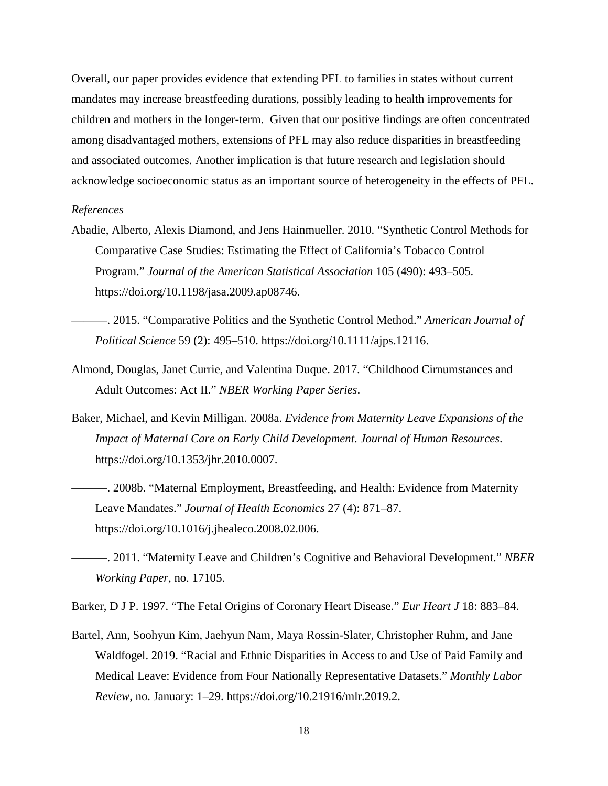Overall, our paper provides evidence that extending PFL to families in states without current mandates may increase breastfeeding durations, possibly leading to health improvements for children and mothers in the longer-term. Given that our positive findings are often concentrated among disadvantaged mothers, extensions of PFL may also reduce disparities in breastfeeding and associated outcomes. Another implication is that future research and legislation should acknowledge socioeconomic status as an important source of heterogeneity in the effects of PFL.

#### *References*

- Abadie, Alberto, Alexis Diamond, and Jens Hainmueller. 2010. "Synthetic Control Methods for Comparative Case Studies: Estimating the Effect of California's Tobacco Control Program." *Journal of the American Statistical Association* 105 (490): 493–505. https://doi.org/10.1198/jasa.2009.ap08746.
- ———. 2015. "Comparative Politics and the Synthetic Control Method." *American Journal of Political Science* 59 (2): 495–510. https://doi.org/10.1111/ajps.12116.
- Almond, Douglas, Janet Currie, and Valentina Duque. 2017. "Childhood Cirnumstances and Adult Outcomes: Act II." *NBER Working Paper Series*.
- Baker, Michael, and Kevin Milligan. 2008a. *Evidence from Maternity Leave Expansions of the Impact of Maternal Care on Early Child Development*. *Journal of Human Resources*. https://doi.org/10.1353/jhr.2010.0007.
	- ———. 2008b. "Maternal Employment, Breastfeeding, and Health: Evidence from Maternity Leave Mandates." *Journal of Health Economics* 27 (4): 871–87. https://doi.org/10.1016/j.jhealeco.2008.02.006.
- ———. 2011. "Maternity Leave and Children's Cognitive and Behavioral Development." *NBER Working Paper*, no. 17105.

Barker, D J P. 1997. "The Fetal Origins of Coronary Heart Disease." *Eur Heart J* 18: 883–84.

Bartel, Ann, Soohyun Kim, Jaehyun Nam, Maya Rossin-Slater, Christopher Ruhm, and Jane Waldfogel. 2019. "Racial and Ethnic Disparities in Access to and Use of Paid Family and Medical Leave: Evidence from Four Nationally Representative Datasets." *Monthly Labor Review*, no. January: 1–29. https://doi.org/10.21916/mlr.2019.2.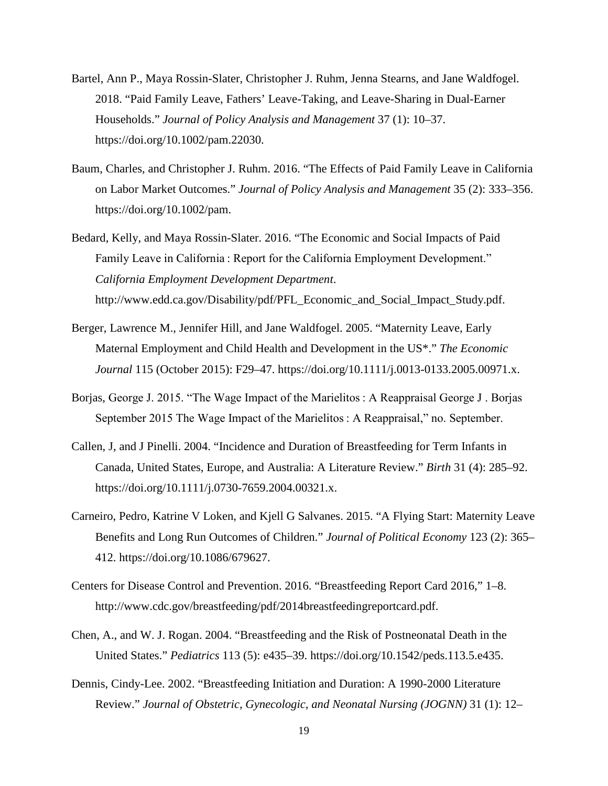- Bartel, Ann P., Maya Rossin-Slater, Christopher J. Ruhm, Jenna Stearns, and Jane Waldfogel. 2018. "Paid Family Leave, Fathers' Leave-Taking, and Leave-Sharing in Dual-Earner Households." *Journal of Policy Analysis and Management* 37 (1): 10–37. https://doi.org/10.1002/pam.22030.
- Baum, Charles, and Christopher J. Ruhm. 2016. "The Effects of Paid Family Leave in California on Labor Market Outcomes." *Journal of Policy Analysis and Management* 35 (2): 333–356. https://doi.org/10.1002/pam.
- Bedard, Kelly, and Maya Rossin-Slater. 2016. "The Economic and Social Impacts of Paid Family Leave in California : Report for the California Employment Development." *California Employment Development Department*. http://www.edd.ca.gov/Disability/pdf/PFL\_Economic\_and\_Social\_Impact\_Study.pdf.
- Berger, Lawrence M., Jennifer Hill, and Jane Waldfogel. 2005. "Maternity Leave, Early Maternal Employment and Child Health and Development in the US\*." *The Economic Journal* 115 (October 2015): F29–47. https://doi.org/10.1111/j.0013-0133.2005.00971.x.
- Borjas, George J. 2015. "The Wage Impact of the Marielitos : A Reappraisal George J . Borjas September 2015 The Wage Impact of the Marielitos : A Reappraisal," no. September.
- Callen, J, and J Pinelli. 2004. "Incidence and Duration of Breastfeeding for Term Infants in Canada, United States, Europe, and Australia: A Literature Review." *Birth* 31 (4): 285–92. https://doi.org/10.1111/j.0730-7659.2004.00321.x.
- Carneiro, Pedro, Katrine V Loken, and Kjell G Salvanes. 2015. "A Flying Start: Maternity Leave Benefits and Long Run Outcomes of Children." *Journal of Political Economy* 123 (2): 365– 412. https://doi.org/10.1086/679627.
- Centers for Disease Control and Prevention. 2016. "Breastfeeding Report Card 2016," 1–8. http://www.cdc.gov/breastfeeding/pdf/2014breastfeedingreportcard.pdf.
- Chen, A., and W. J. Rogan. 2004. "Breastfeeding and the Risk of Postneonatal Death in the United States." *Pediatrics* 113 (5): e435–39. https://doi.org/10.1542/peds.113.5.e435.
- Dennis, Cindy-Lee. 2002. "Breastfeeding Initiation and Duration: A 1990-2000 Literature Review." *Journal of Obstetric, Gynecologic, and Neonatal Nursing (JOGNN)* 31 (1): 12–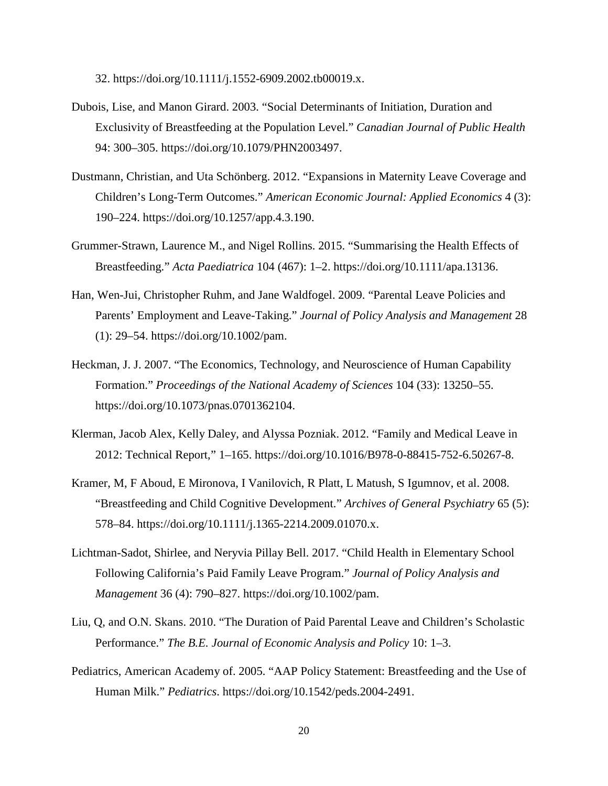32. https://doi.org/10.1111/j.1552-6909.2002.tb00019.x.

- Dubois, Lise, and Manon Girard. 2003. "Social Determinants of Initiation, Duration and Exclusivity of Breastfeeding at the Population Level." *Canadian Journal of Public Health* 94: 300–305. https://doi.org/10.1079/PHN2003497.
- Dustmann, Christian, and Uta Schönberg. 2012. "Expansions in Maternity Leave Coverage and Children's Long-Term Outcomes." *American Economic Journal: Applied Economics* 4 (3): 190–224. https://doi.org/10.1257/app.4.3.190.
- Grummer-Strawn, Laurence M., and Nigel Rollins. 2015. "Summarising the Health Effects of Breastfeeding." *Acta Paediatrica* 104 (467): 1–2. https://doi.org/10.1111/apa.13136.
- Han, Wen-Jui, Christopher Ruhm, and Jane Waldfogel. 2009. "Parental Leave Policies and Parents' Employment and Leave-Taking." *Journal of Policy Analysis and Management* 28 (1): 29–54. https://doi.org/10.1002/pam.
- Heckman, J. J. 2007. "The Economics, Technology, and Neuroscience of Human Capability Formation." *Proceedings of the National Academy of Sciences* 104 (33): 13250–55. https://doi.org/10.1073/pnas.0701362104.
- Klerman, Jacob Alex, Kelly Daley, and Alyssa Pozniak. 2012. "Family and Medical Leave in 2012: Technical Report," 1–165. https://doi.org/10.1016/B978-0-88415-752-6.50267-8.
- Kramer, M, F Aboud, E Mironova, I Vanilovich, R Platt, L Matush, S Igumnov, et al. 2008. "Breastfeeding and Child Cognitive Development." *Archives of General Psychiatry* 65 (5): 578–84. https://doi.org/10.1111/j.1365-2214.2009.01070.x.
- Lichtman-Sadot, Shirlee, and Neryvia Pillay Bell. 2017. "Child Health in Elementary School Following California's Paid Family Leave Program." *Journal of Policy Analysis and Management* 36 (4): 790–827. https://doi.org/10.1002/pam.
- Liu, Q, and O.N. Skans. 2010. "The Duration of Paid Parental Leave and Children's Scholastic Performance." *The B.E. Journal of Economic Analysis and Policy* 10: 1–3.
- Pediatrics, American Academy of. 2005. "AAP Policy Statement: Breastfeeding and the Use of Human Milk." *Pediatrics*. https://doi.org/10.1542/peds.2004-2491.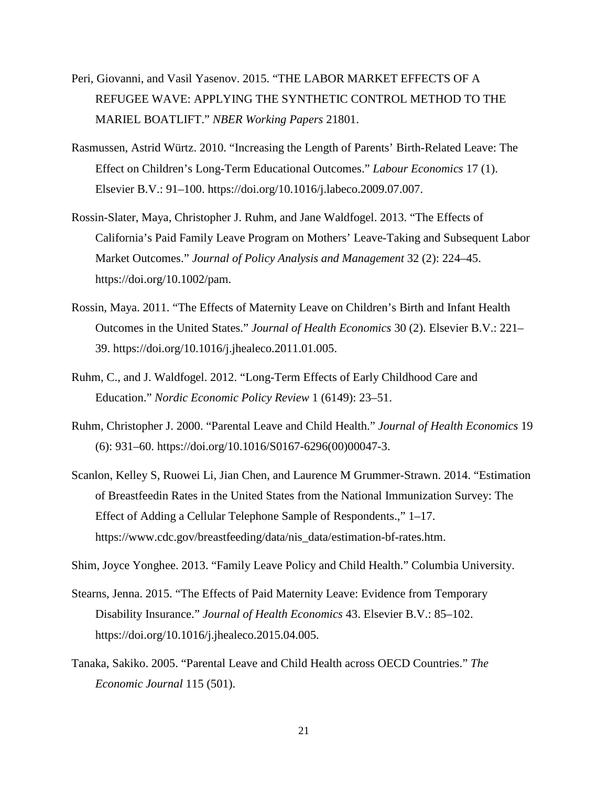- Peri, Giovanni, and Vasil Yasenov. 2015. "THE LABOR MARKET EFFECTS OF A REFUGEE WAVE: APPLYING THE SYNTHETIC CONTROL METHOD TO THE MARIEL BOATLIFT." *NBER Working Papers* 21801.
- Rasmussen, Astrid Würtz. 2010. "Increasing the Length of Parents' Birth-Related Leave: The Effect on Children's Long-Term Educational Outcomes." *Labour Economics* 17 (1). Elsevier B.V.: 91–100. https://doi.org/10.1016/j.labeco.2009.07.007.
- Rossin-Slater, Maya, Christopher J. Ruhm, and Jane Waldfogel. 2013. "The Effects of California's Paid Family Leave Program on Mothers' Leave-Taking and Subsequent Labor Market Outcomes." *Journal of Policy Analysis and Management* 32 (2): 224–45. https://doi.org/10.1002/pam.
- Rossin, Maya. 2011. "The Effects of Maternity Leave on Children's Birth and Infant Health Outcomes in the United States." *Journal of Health Economics* 30 (2). Elsevier B.V.: 221– 39. https://doi.org/10.1016/j.jhealeco.2011.01.005.
- Ruhm, C., and J. Waldfogel. 2012. "Long-Term Effects of Early Childhood Care and Education." *Nordic Economic Policy Review* 1 (6149): 23–51.
- Ruhm, Christopher J. 2000. "Parental Leave and Child Health." *Journal of Health Economics* 19 (6): 931–60. https://doi.org/10.1016/S0167-6296(00)00047-3.
- Scanlon, Kelley S, Ruowei Li, Jian Chen, and Laurence M Grummer-Strawn. 2014. "Estimation of Breastfeedin Rates in the United States from the National Immunization Survey: The Effect of Adding a Cellular Telephone Sample of Respondents.," 1–17. https://www.cdc.gov/breastfeeding/data/nis\_data/estimation-bf-rates.htm.

Shim, Joyce Yonghee. 2013. "Family Leave Policy and Child Health." Columbia University.

- Stearns, Jenna. 2015. "The Effects of Paid Maternity Leave: Evidence from Temporary Disability Insurance." *Journal of Health Economics* 43. Elsevier B.V.: 85–102. https://doi.org/10.1016/j.jhealeco.2015.04.005.
- Tanaka, Sakiko. 2005. "Parental Leave and Child Health across OECD Countries." *The Economic Journal* 115 (501).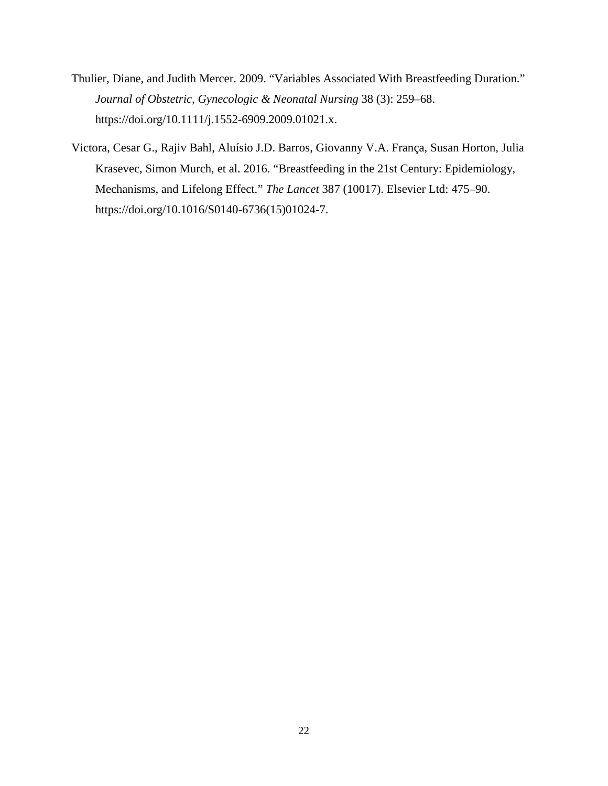- Thulier, Diane, and Judith Mercer. 2009. "Variables Associated With Breastfeeding Duration." *Journal of Obstetric, Gynecologic & Neonatal Nursing* 38 (3): 259–68. https://doi.org/10.1111/j.1552-6909.2009.01021.x.
- Victora, Cesar G., Rajiv Bahl, Aluísio J.D. Barros, Giovanny V.A. França, Susan Horton, Julia Krasevec, Simon Murch, et al. 2016. "Breastfeeding in the 21st Century: Epidemiology, Mechanisms, and Lifelong Effect." *The Lancet* 387 (10017). Elsevier Ltd: 475–90. https://doi.org/10.1016/S0140-6736(15)01024-7.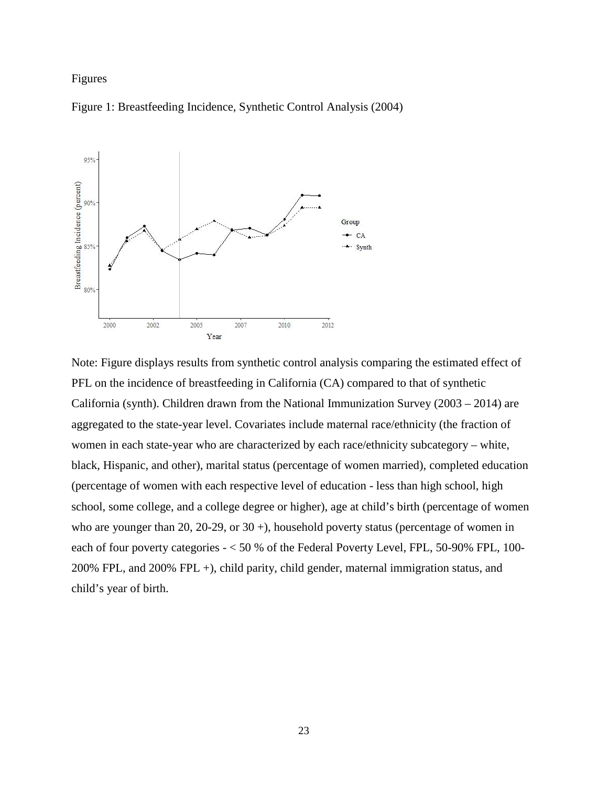# Figures





Note: Figure displays results from synthetic control analysis comparing the estimated effect of PFL on the incidence of breastfeeding in California (CA) compared to that of synthetic California (synth). Children drawn from the National Immunization Survey (2003 – 2014) are aggregated to the state-year level. Covariates include maternal race/ethnicity (the fraction of women in each state-year who are characterized by each race/ethnicity subcategory – white, black, Hispanic, and other), marital status (percentage of women married), completed education (percentage of women with each respective level of education - less than high school, high school, some college, and a college degree or higher), age at child's birth (percentage of women who are younger than 20, 20-29, or 30 +), household poverty status (percentage of women in each of four poverty categories - < 50 % of the Federal Poverty Level, FPL, 50-90% FPL, 100- 200% FPL, and 200% FPL +), child parity, child gender, maternal immigration status, and child's year of birth.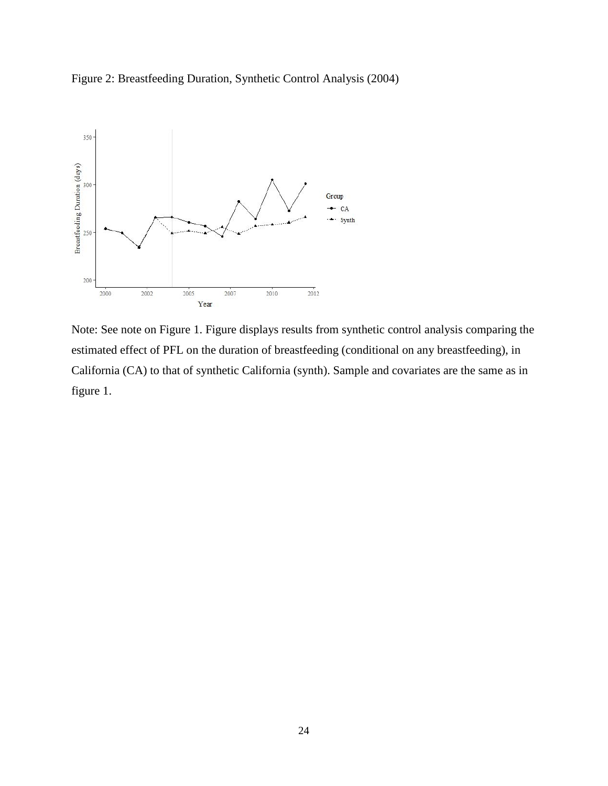Figure 2: Breastfeeding Duration, Synthetic Control Analysis (2004)



Note: See note on Figure 1. Figure displays results from synthetic control analysis comparing the estimated effect of PFL on the duration of breastfeeding (conditional on any breastfeeding), in California (CA) to that of synthetic California (synth). Sample and covariates are the same as in figure 1.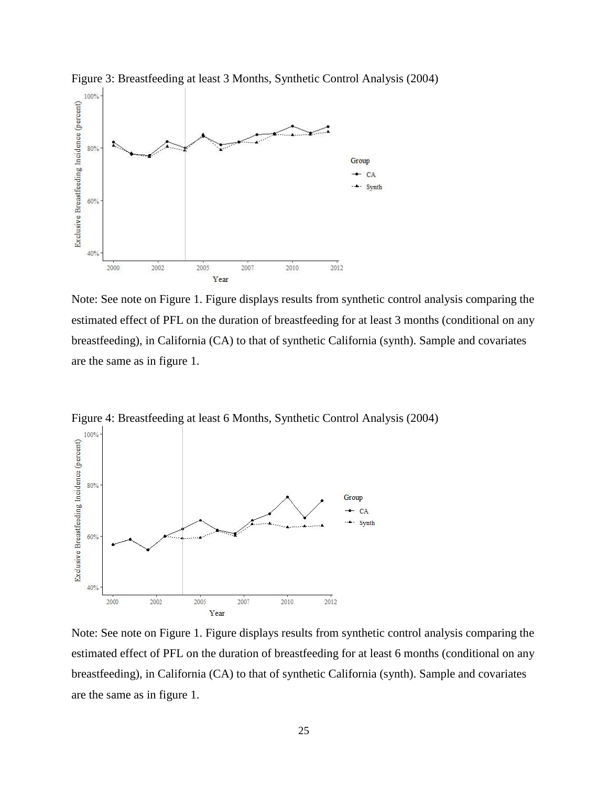

Figure 3: Breastfeeding at least 3 Months, Synthetic Control Analysis (2004)

Note: See note on Figure 1. Figure displays results from synthetic control analysis comparing the estimated effect of PFL on the duration of breastfeeding for at least 3 months (conditional on any breastfeeding), in California (CA) to that of synthetic California (synth). Sample and covariates are the same as in figure 1.



Figure 4: Breastfeeding at least 6 Months, Synthetic Control Analysis (2004)

Note: See note on Figure 1. Figure displays results from synthetic control analysis comparing the estimated effect of PFL on the duration of breastfeeding for at least 6 months (conditional on any breastfeeding), in California (CA) to that of synthetic California (synth). Sample and covariates are the same as in figure 1.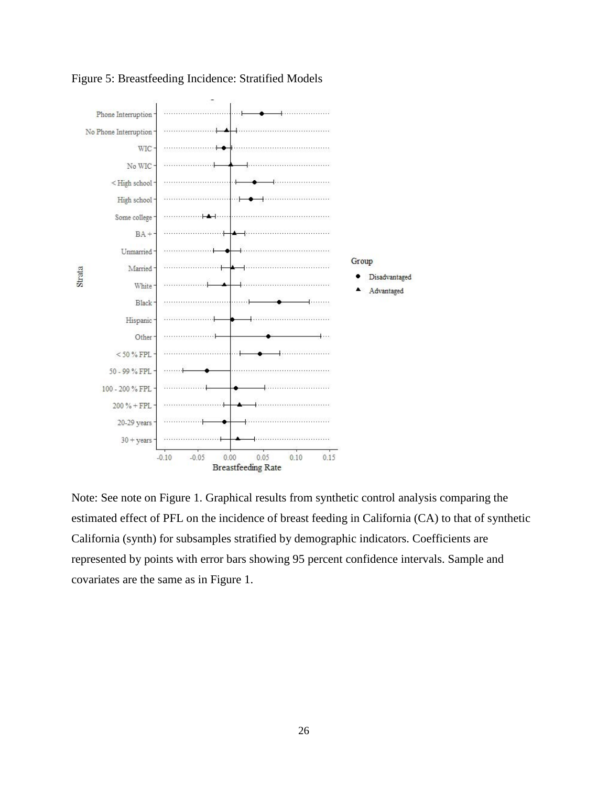

Figure 5: Breastfeeding Incidence: Stratified Models

Note: See note on Figure 1. Graphical results from synthetic control analysis comparing the estimated effect of PFL on the incidence of breast feeding in California (CA) to that of synthetic California (synth) for subsamples stratified by demographic indicators. Coefficients are represented by points with error bars showing 95 percent confidence intervals. Sample and covariates are the same as in Figure 1.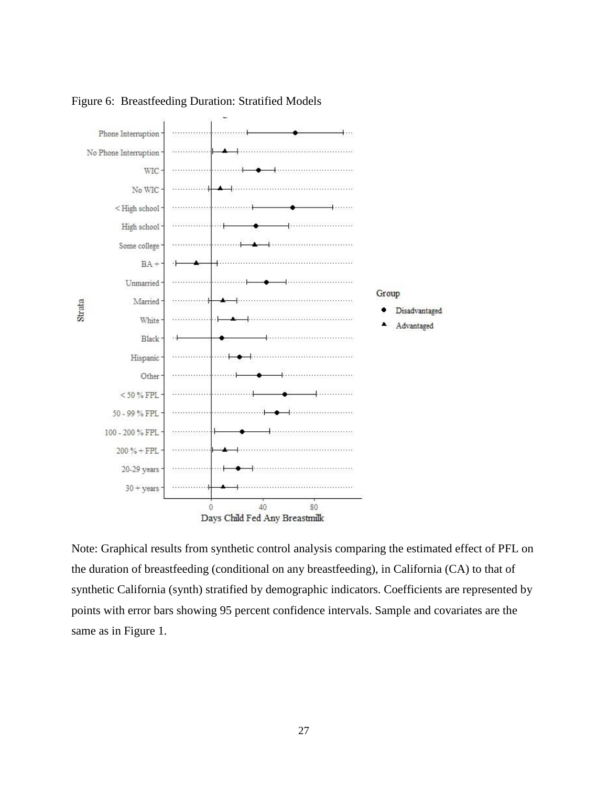

Figure 6: Breastfeeding Duration: Stratified Models

Note: Graphical results from synthetic control analysis comparing the estimated effect of PFL on the duration of breastfeeding (conditional on any breastfeeding), in California (CA) to that of synthetic California (synth) stratified by demographic indicators. Coefficients are represented by points with error bars showing 95 percent confidence intervals. Sample and covariates are the same as in Figure 1.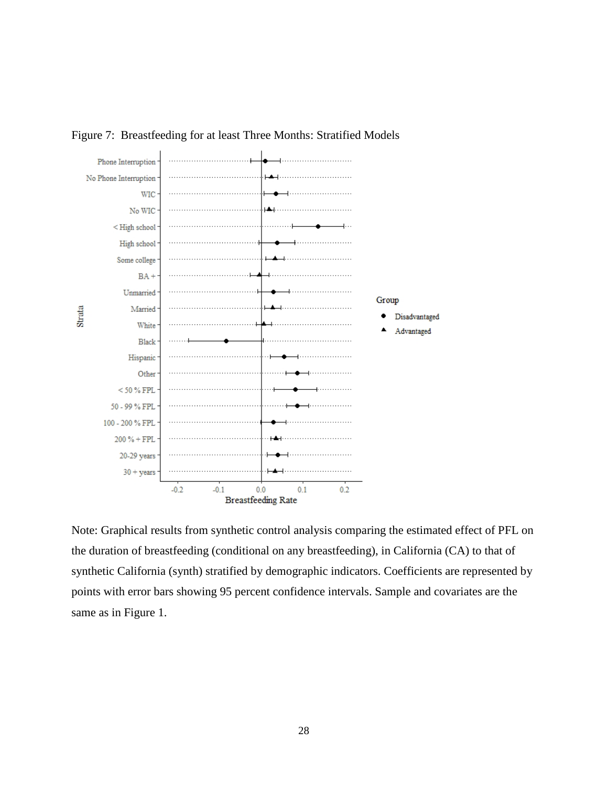



Note: Graphical results from synthetic control analysis comparing the estimated effect of PFL on the duration of breastfeeding (conditional on any breastfeeding), in California (CA) to that of synthetic California (synth) stratified by demographic indicators. Coefficients are represented by points with error bars showing 95 percent confidence intervals. Sample and covariates are the same as in Figure 1.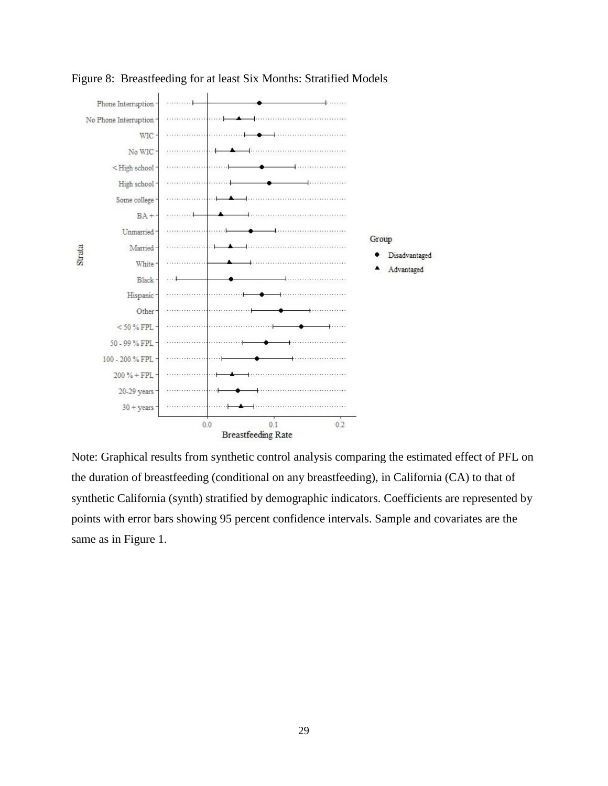

Figure 8: Breastfeeding for at least Six Months: Stratified Models

Note: Graphical results from synthetic control analysis comparing the estimated effect of PFL on the duration of breastfeeding (conditional on any breastfeeding), in California (CA) to that of synthetic California (synth) stratified by demographic indicators. Coefficients are represented by points with error bars showing 95 percent confidence intervals. Sample and covariates are the same as in Figure 1.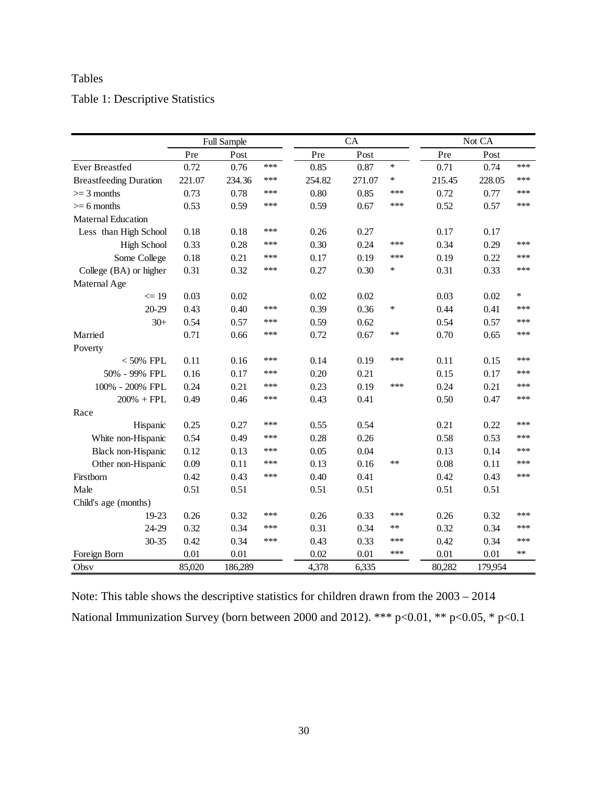# Tables

# Table 1: Descriptive Statistics

|                               | <b>Full Sample</b> |         |     | CA     |        |        | Not CA |         |        |
|-------------------------------|--------------------|---------|-----|--------|--------|--------|--------|---------|--------|
|                               | Pre                | Post    |     | Pre    | Post   |        | Pre    | Post    |        |
| <b>Ever Breastfed</b>         | 0.72               | 0.76    | *** | 0.85   | 0.87   | $\ast$ | 0.71   | 0.74    | ***    |
| <b>Breastfeeding Duration</b> | 221.07             | 234.36  | *** | 254.82 | 271.07 | *      | 215.45 | 228.05  | ***    |
| $>=$ 3 months                 | 0.73               | 0.78    | *** | 0.80   | 0.85   | ***    | 0.72   | 0.77    | ***    |
| $\geq 6$ months               | 0.53               | 0.59    | *** | 0.59   | 0.67   | ***    | 0.52   | 0.57    | ***    |
| Maternal Education            |                    |         |     |        |        |        |        |         |        |
| Less than High School         | 0.18               | 0.18    | *** | 0.26   | 0.27   |        | 0.17   | 0.17    |        |
| <b>High School</b>            | 0.33               | 0.28    | *** | 0.30   | 0.24   | ***    | 0.34   | 0.29    | ***    |
| Some College                  | 0.18               | 0.21    | *** | 0.17   | 0.19   | ***    | 0.19   | 0.22    | ***    |
| College (BA) or higher        | 0.31               | 0.32    | *** | 0.27   | 0.30   | $\ast$ | 0.31   | 0.33    | ***    |
| Maternal Age                  |                    |         |     |        |        |        |        |         |        |
| $\leq$ 19                     | 0.03               | 0.02    |     | 0.02   | 0.02   |        | 0.03   | 0.02    | $\ast$ |
| 20-29                         | 0.43               | 0.40    | *** | 0.39   | 0.36   | $\ast$ | 0.44   | 0.41    | ***    |
| $30+$                         | 0.54               | 0.57    | *** | 0.59   | 0.62   |        | 0.54   | 0.57    | ***    |
| Married                       | 0.71               | 0.66    | *** | 0.72   | 0.67   | **     | 0.70   | 0.65    | ***    |
| Poverty                       |                    |         |     |        |        |        |        |         |        |
| $< 50\%$ FPL                  | 0.11               | 0.16    | *** | 0.14   | 0.19   | ***    | 0.11   | 0.15    | ***    |
| 50% - 99% FPL                 | 0.16               | 0.17    | *** | 0.20   | 0.21   |        | 0.15   | 0.17    | ***    |
| 100% - 200% FPL               | 0.24               | 0.21    | *** | 0.23   | 0.19   | ***    | 0.24   | 0.21    | ***    |
| $200%$ + FPL                  | 0.49               | 0.46    | *** | 0.43   | 0.41   |        | 0.50   | 0.47    | ***    |
| Race                          |                    |         |     |        |        |        |        |         |        |
| Hispanic                      | 0.25               | 0.27    | *** | 0.55   | 0.54   |        | 0.21   | 0.22    | ***    |
| White non-Hispanic            | 0.54               | 0.49    | *** | 0.28   | 0.26   |        | 0.58   | 0.53    | ***    |
| Black non-Hispanic            | 0.12               | 0.13    | *** | 0.05   | 0.04   |        | 0.13   | 0.14    | ***    |
| Other non-Hispanic            | 0.09               | 0.11    | *** | 0.13   | 0.16   | $**$   | 0.08   | 0.11    | ***    |
| Firstborn                     | 0.42               | 0.43    | *** | 0.40   | 0.41   |        | 0.42   | 0.43    | ***    |
| Male                          | 0.51               | 0.51    |     | 0.51   | 0.51   |        | 0.51   | 0.51    |        |
| Child's age (months)          |                    |         |     |        |        |        |        |         |        |
| 19-23                         | 0.26               | 0.32    | *** | 0.26   | 0.33   | ***    | 0.26   | 0.32    | ***    |
| 24-29                         | 0.32               | 0.34    | *** | 0.31   | 0.34   | **     | 0.32   | 0.34    | ***    |
| 30-35                         | 0.42               | 0.34    | *** | 0.43   | 0.33   | ***    | 0.42   | 0.34    | ***    |
| Foreign Born                  | 0.01               | 0.01    |     | 0.02   | 0.01   | ***    | 0.01   | 0.01    | **     |
| Obsv                          | 85,020             | 186,289 |     | 4,378  | 6,335  |        | 80,282 | 179,954 |        |

Note: This table shows the descriptive statistics for children drawn from the 2003 – 2014 National Immunization Survey (born between 2000 and 2012). \*\*\* p<0.01, \*\* p<0.05, \* p<0.1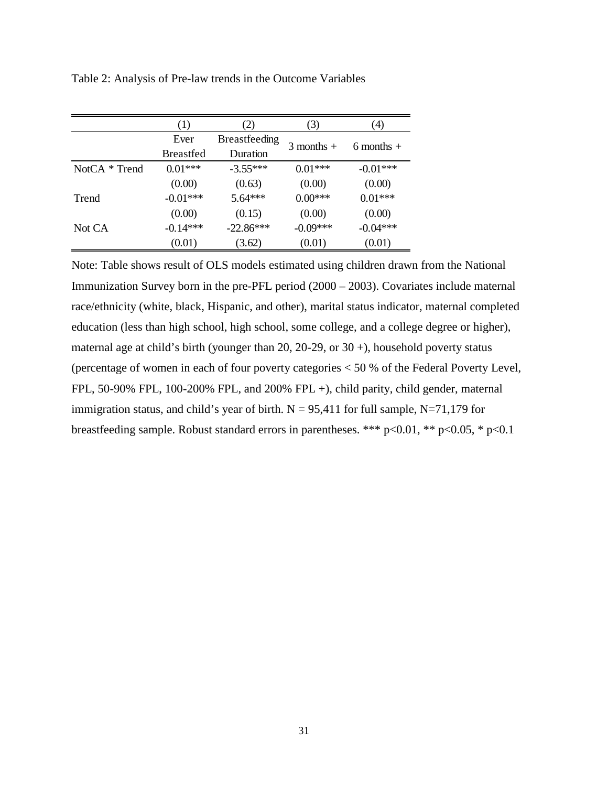|               | (1)              | (2)                  | (3)            | $\left(4\right)$ |  |
|---------------|------------------|----------------------|----------------|------------------|--|
|               | Ever             | <b>Breastfeeding</b> | $3$ months $+$ |                  |  |
|               | <b>Breastfed</b> | Duration             |                | $6$ months $+$   |  |
| NotCA * Trend | $0.01***$        | $-3.55***$           | $0.01***$      | $-0.01***$       |  |
|               | (0.00)           | (0.63)               | (0.00)         | (0.00)           |  |
| Trend         | $-0.01***$       | 5.64***              | $0.00***$      | $0.01***$        |  |
|               | (0.00)           | (0.15)               | (0.00)         | (0.00)           |  |
| Not CA        | $-0.14***$       | $-22.86***$          | $-0.09***$     | $-0.04***$       |  |
|               | (0.01)           | (3.62)               | (0.01)         | (0.01)           |  |

Table 2: Analysis of Pre-law trends in the Outcome Variables

Note: Table shows result of OLS models estimated using children drawn from the National Immunization Survey born in the pre-PFL period (2000 – 2003). Covariates include maternal race/ethnicity (white, black, Hispanic, and other), marital status indicator, maternal completed education (less than high school, high school, some college, and a college degree or higher), maternal age at child's birth (younger than 20, 20-29, or  $30 +$ ), household poverty status (percentage of women in each of four poverty categories < 50 % of the Federal Poverty Level, FPL, 50-90% FPL, 100-200% FPL, and 200% FPL +), child parity, child gender, maternal immigration status, and child's year of birth.  $N = 95,411$  for full sample, N=71,179 for breastfeeding sample. Robust standard errors in parentheses. \*\*\* p<0.01, \*\* p<0.05, \* p<0.1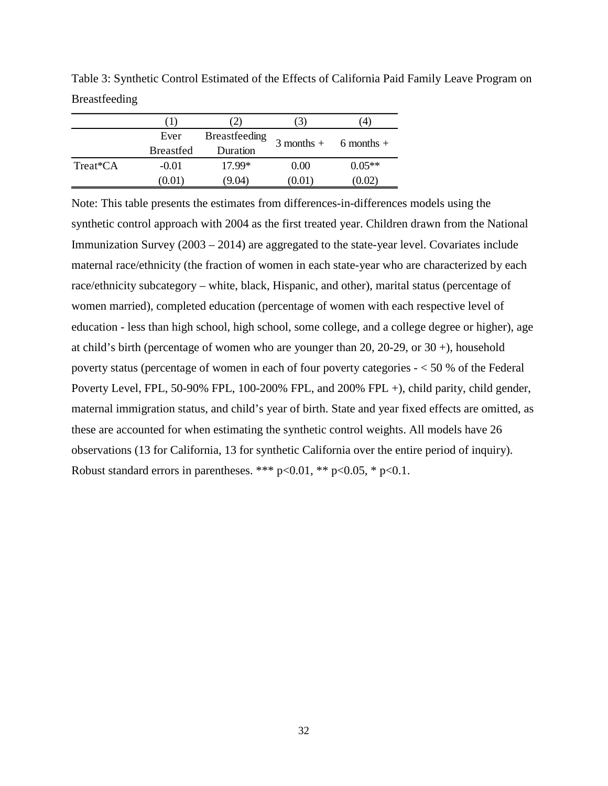|          | [ 1 )            |                      | $\mathcal{I}$           | 4        |  |
|----------|------------------|----------------------|-------------------------|----------|--|
|          | Ever             | <b>Breastfeeding</b> | $3$ months + 6 months + |          |  |
|          | <b>Breastfed</b> | Duration             |                         |          |  |
| Treat*CA | $-0.01$          | 17.99*               | 0.00                    | $0.05**$ |  |
|          | (0.01)           | (9.04)               | (0.01)                  | (0.02)   |  |

Table 3: Synthetic Control Estimated of the Effects of California Paid Family Leave Program on Breastfeeding

Note: This table presents the estimates from differences-in-differences models using the synthetic control approach with 2004 as the first treated year. Children drawn from the National Immunization Survey (2003 – 2014) are aggregated to the state-year level. Covariates include maternal race/ethnicity (the fraction of women in each state-year who are characterized by each race/ethnicity subcategory – white, black, Hispanic, and other), marital status (percentage of women married), completed education (percentage of women with each respective level of education - less than high school, high school, some college, and a college degree or higher), age at child's birth (percentage of women who are younger than 20, 20-29, or  $30 +$ ), household poverty status (percentage of women in each of four poverty categories - < 50 % of the Federal Poverty Level, FPL, 50-90% FPL, 100-200% FPL, and 200% FPL +), child parity, child gender, maternal immigration status, and child's year of birth. State and year fixed effects are omitted, as these are accounted for when estimating the synthetic control weights. All models have 26 observations (13 for California, 13 for synthetic California over the entire period of inquiry). Robust standard errors in parentheses. \*\*\*  $p<0.01$ , \*\*  $p<0.05$ , \*  $p<0.1$ .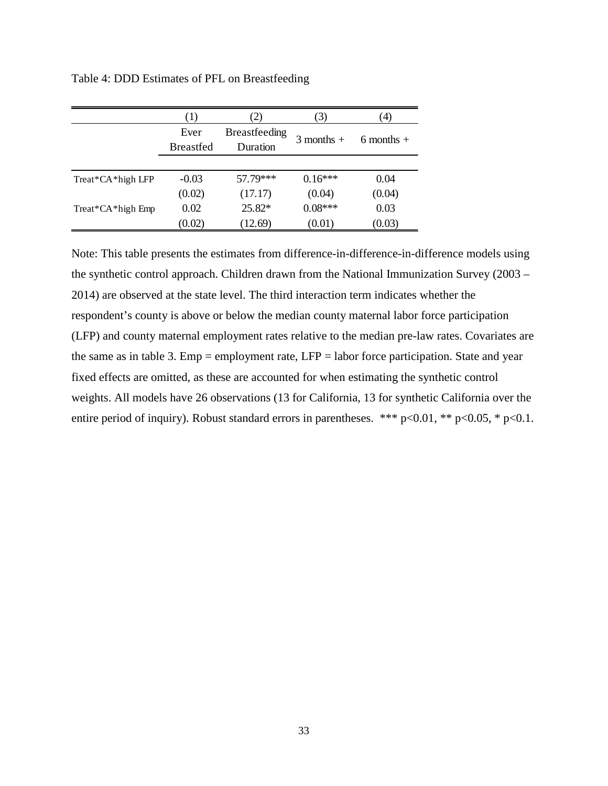|                   | (1)              | 2)                   | 3)             | $\left(4\right)$ |  |
|-------------------|------------------|----------------------|----------------|------------------|--|
|                   | Ever             | <b>Breastfeeding</b> |                |                  |  |
|                   | <b>Breastfed</b> | Duration             | $3$ months $+$ | 6 months $+$     |  |
|                   |                  |                      |                |                  |  |
| Treat*CA*high LFP | $-0.03$          | 57.79***             | $0.16***$      | 0.04             |  |
|                   | (0.02)           | (17.17)              | (0.04)         | (0.04)           |  |
| Treat*CA*high Emp | 0.02             | $25.82*$             | $0.08***$      | 0.03             |  |
|                   | (0.02)           | (12.69)              | (0.01)         | (0.03)           |  |

Table 4: DDD Estimates of PFL on Breastfeeding

Note: This table presents the estimates from difference-in-difference-in-difference models using the synthetic control approach. Children drawn from the National Immunization Survey (2003 – 2014) are observed at the state level. The third interaction term indicates whether the respondent's county is above or below the median county maternal labor force participation (LFP) and county maternal employment rates relative to the median pre-law rates. Covariates are the same as in table 3. Emp = employment rate, LFP = labor force participation. State and year fixed effects are omitted, as these are accounted for when estimating the synthetic control weights. All models have 26 observations (13 for California, 13 for synthetic California over the entire period of inquiry). Robust standard errors in parentheses. \*\*\*  $p<0.01$ , \*\*  $p<0.05$ , \*  $p<0.1$ .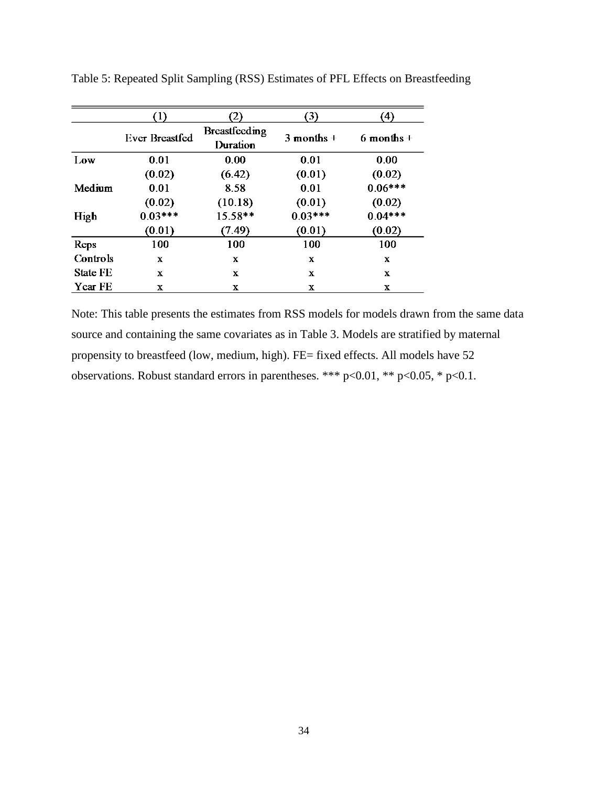|                 | D              |                           | 3)             | $\left( 4\right)$ |
|-----------------|----------------|---------------------------|----------------|-------------------|
|                 | Ever Breastfed | Breastfeeding<br>Duration | $3$ months $+$ | $6$ months +      |
| Low             | 0.01           | 0.00                      | 0.01           | 0.00              |
|                 | (0.02)         | (6.42)                    | (0.01)         | (0.02)            |
| Medium          | 0.01           | 8.58                      | 0.01           | $0.06***$         |
|                 | (0.02)         | (10.18)                   | (0.01)         | (0.02)            |
| High            | $0.03***$      | $15.58**$                 | $0.03***$      | $0.04***$         |
|                 | (0.01)         | (7.49)                    | (0.01)         | (0.02)            |
| Reps            | 100            | 100                       | 100            | 100               |
| Controls        | X              | $\mathbf{x}$              | $\mathbf x$    | $\mathbf x$       |
| <b>State FE</b> | X              | $\mathbf x$               | $\mathbf x$    | $\mathbf x$       |
| Year FE         | X              | X                         | X              | X                 |

Table 5: Repeated Split Sampling (RSS) Estimates of PFL Effects on Breastfeeding

Note: This table presents the estimates from RSS models for models drawn from the same data source and containing the same covariates as in Table 3. Models are stratified by maternal propensity to breastfeed (low, medium, high). FE= fixed effects. All models have 52 observations. Robust standard errors in parentheses. \*\*\* p<0.01, \*\* p<0.05, \* p<0.1.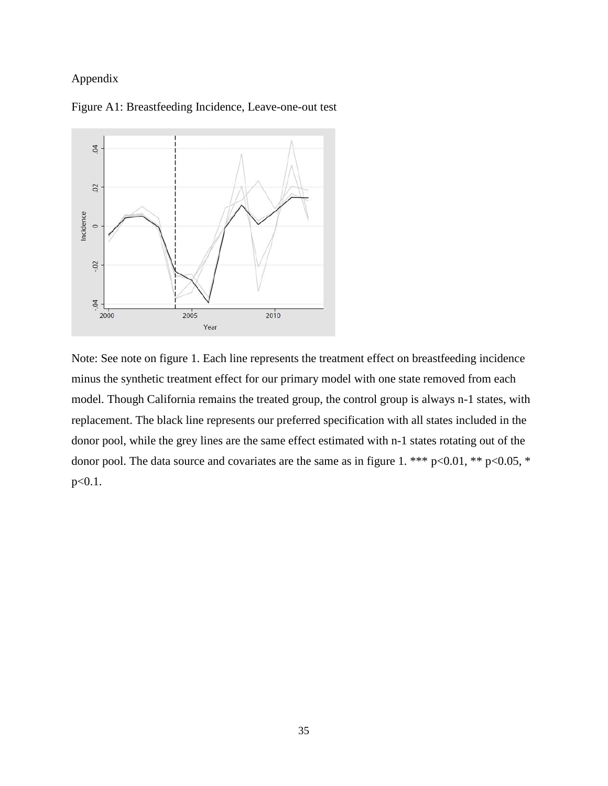# Appendix



Figure A1: Breastfeeding Incidence, Leave-one-out test

Note: See note on figure 1. Each line represents the treatment effect on breastfeeding incidence minus the synthetic treatment effect for our primary model with one state removed from each model. Though California remains the treated group, the control group is always n-1 states, with replacement. The black line represents our preferred specification with all states included in the donor pool, while the grey lines are the same effect estimated with n-1 states rotating out of the donor pool. The data source and covariates are the same as in figure 1. \*\*\*  $p<0.01$ , \*\*  $p<0.05$ , \*  $p<0.1$ .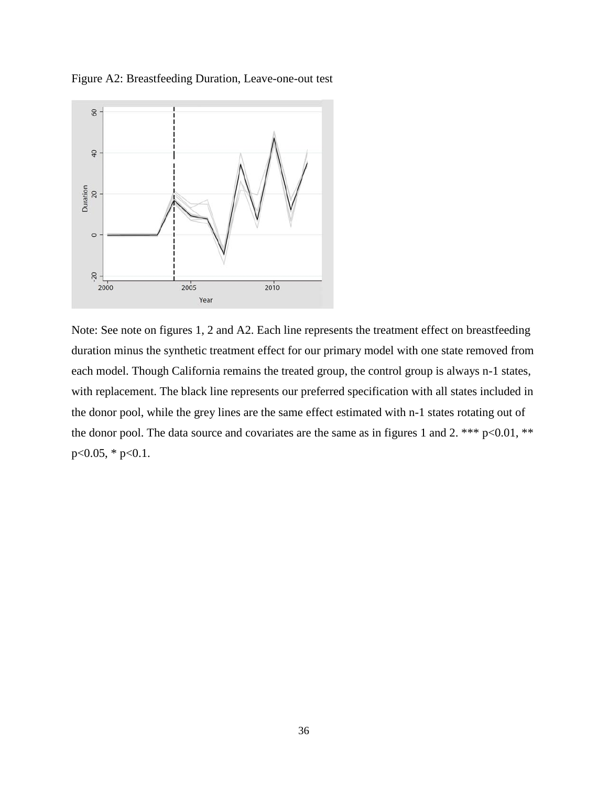

Figure A2: Breastfeeding Duration, Leave-one-out test

Note: See note on figures 1, 2 and A2. Each line represents the treatment effect on breastfeeding duration minus the synthetic treatment effect for our primary model with one state removed from each model. Though California remains the treated group, the control group is always n-1 states, with replacement. The black line represents our preferred specification with all states included in the donor pool, while the grey lines are the same effect estimated with n-1 states rotating out of the donor pool. The data source and covariates are the same as in figures 1 and 2. \*\*\* p<0.01, \*\*  $p<0.05$ , \*  $p<0.1$ .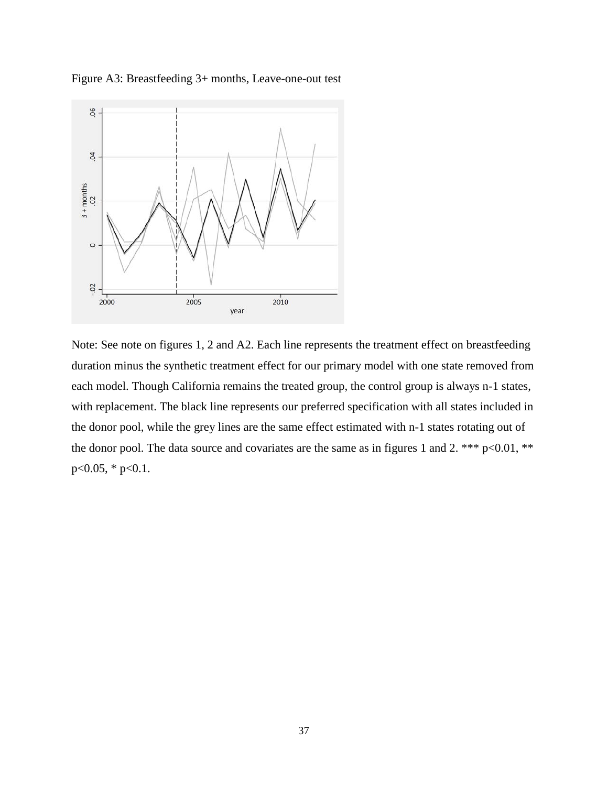

Figure A3: Breastfeeding 3+ months, Leave-one-out test

Note: See note on figures 1, 2 and A2. Each line represents the treatment effect on breastfeeding duration minus the synthetic treatment effect for our primary model with one state removed from each model. Though California remains the treated group, the control group is always n-1 states, with replacement. The black line represents our preferred specification with all states included in the donor pool, while the grey lines are the same effect estimated with n-1 states rotating out of the donor pool. The data source and covariates are the same as in figures 1 and 2. \*\*\*  $p<0.01$ , \*\*  $p<0.05$ , \*  $p<0.1$ .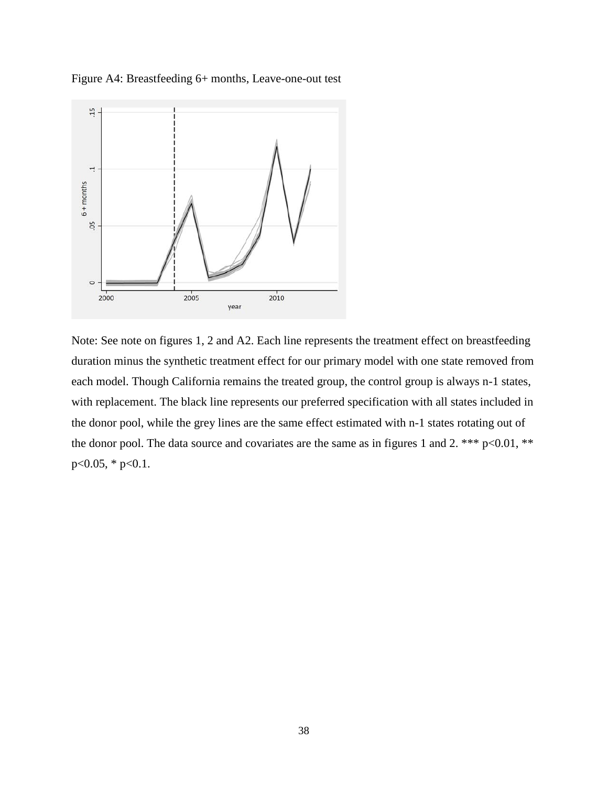

Figure A4: Breastfeeding 6+ months, Leave-one-out test

Note: See note on figures 1, 2 and A2. Each line represents the treatment effect on breastfeeding duration minus the synthetic treatment effect for our primary model with one state removed from each model. Though California remains the treated group, the control group is always n-1 states, with replacement. The black line represents our preferred specification with all states included in the donor pool, while the grey lines are the same effect estimated with n-1 states rotating out of the donor pool. The data source and covariates are the same as in figures 1 and 2. \*\*\*  $p<0.01$ , \*\*  $p<0.05$ , \*  $p<0.1$ .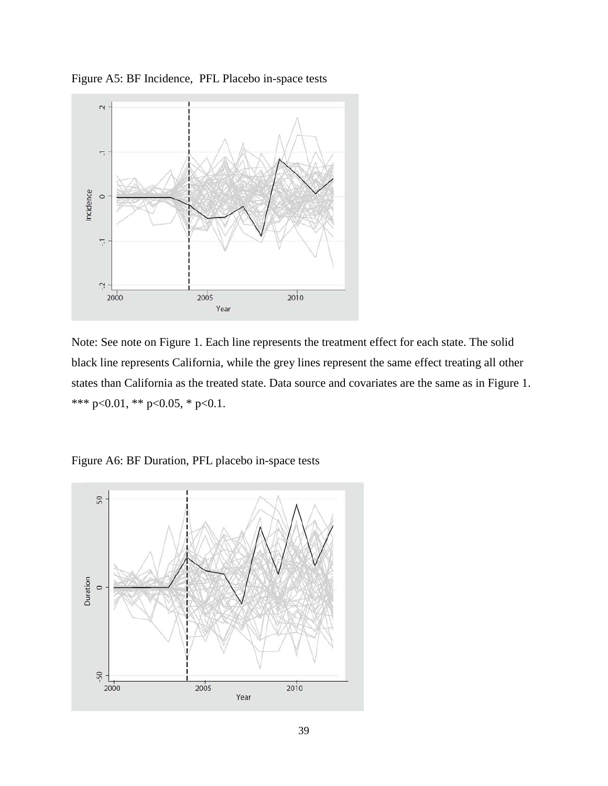

Figure A5: BF Incidence, PFL Placebo in-space tests

Note: See note on Figure 1. Each line represents the treatment effect for each state. The solid black line represents California, while the grey lines represent the same effect treating all other states than California as the treated state. Data source and covariates are the same as in Figure 1. \*\*\* p<0.01, \*\* p<0.05, \* p<0.1.

Figure A6: BF Duration, PFL placebo in-space tests

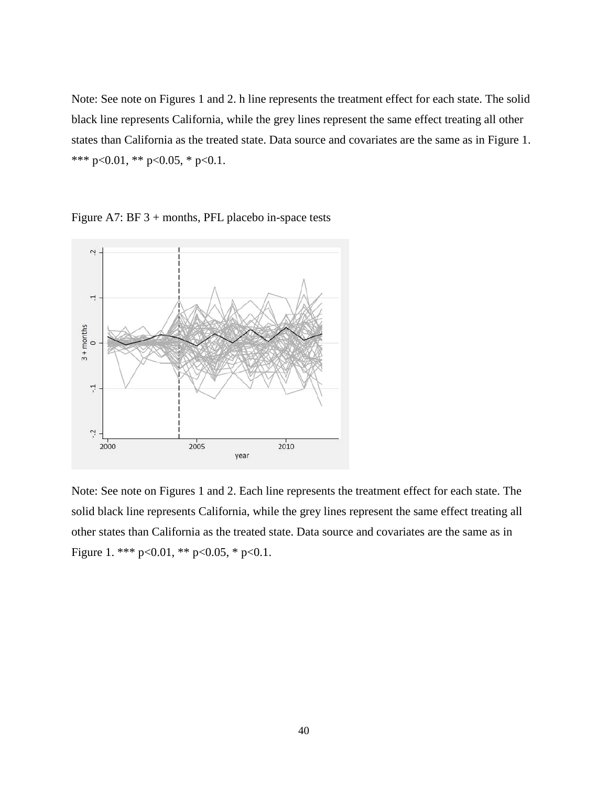Note: See note on Figures 1 and 2. h line represents the treatment effect for each state. The solid black line represents California, while the grey lines represent the same effect treating all other states than California as the treated state. Data source and covariates are the same as in Figure 1. \*\*\* p<0.01, \*\* p<0.05, \* p<0.1.

Figure A7: BF 3 + months, PFL placebo in-space tests



Note: See note on Figures 1 and 2. Each line represents the treatment effect for each state. The solid black line represents California, while the grey lines represent the same effect treating all other states than California as the treated state. Data source and covariates are the same as in Figure 1. \*\*\*  $p<0.01$ , \*\*  $p<0.05$ , \*  $p<0.1$ .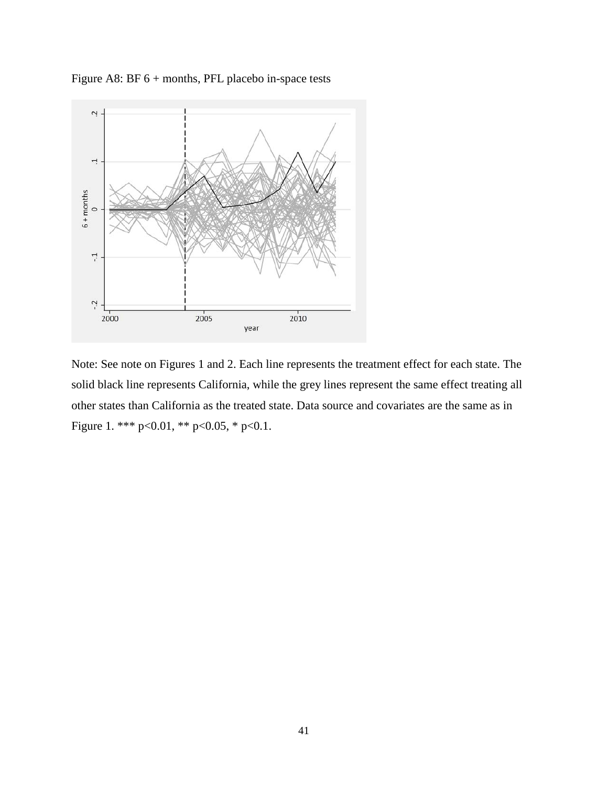

Figure A8: BF 6 + months, PFL placebo in-space tests

Note: See note on Figures 1 and 2. Each line represents the treatment effect for each state. The solid black line represents California, while the grey lines represent the same effect treating all other states than California as the treated state. Data source and covariates are the same as in Figure 1. \*\*\* p<0.01, \*\* p<0.05, \* p<0.1.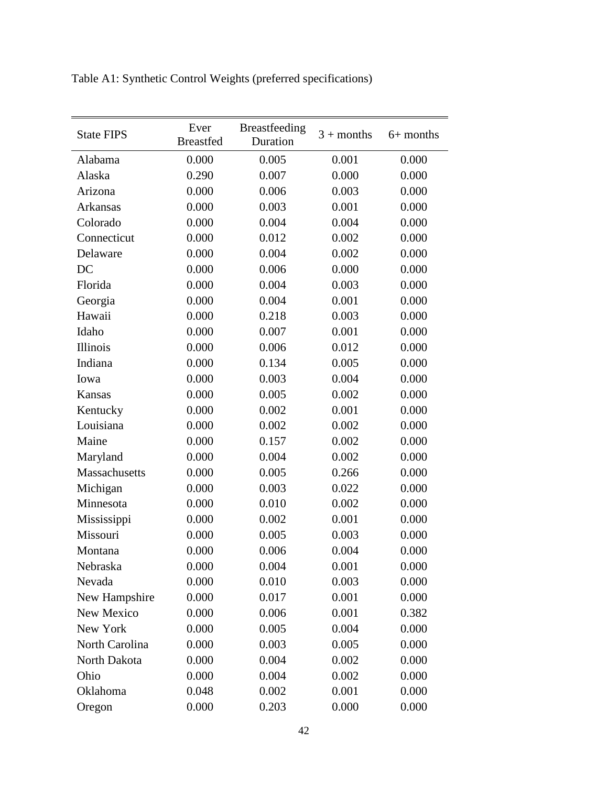| <b>State FIPS</b> | Ever<br><b>Breastfed</b> | Breastfeeding<br>Duration | $3 + months$ | $6+$ months |
|-------------------|--------------------------|---------------------------|--------------|-------------|
| Alabama           | 0.000                    | 0.005                     | 0.001        | 0.000       |
| Alaska            | 0.290                    | 0.007                     | 0.000        | 0.000       |
| Arizona           | 0.000                    | 0.006                     | 0.003        | 0.000       |
| Arkansas          | 0.000                    | 0.003                     | 0.001        | 0.000       |
| Colorado          | 0.000                    | 0.004                     | 0.004        | 0.000       |
| Connecticut       | 0.000                    | 0.012                     | 0.002        | 0.000       |
| Delaware          | 0.000                    | 0.004                     | 0.002        | 0.000       |
| DC                | 0.000                    | 0.006                     | 0.000        | 0.000       |
| Florida           | 0.000                    | 0.004                     | 0.003        | 0.000       |
| Georgia           | 0.000                    | 0.004                     | 0.001        | 0.000       |
| Hawaii            | 0.000                    | 0.218                     | 0.003        | 0.000       |
| Idaho             | 0.000                    | 0.007                     | 0.001        | 0.000       |
| Illinois          | 0.000                    | 0.006                     | 0.012        | 0.000       |
| Indiana           | 0.000                    | 0.134                     | 0.005        | 0.000       |
| Iowa              | 0.000                    | 0.003                     | 0.004        | 0.000       |
| Kansas            | 0.000                    | 0.005                     | 0.002        | 0.000       |
| Kentucky          | 0.000                    | 0.002                     | 0.001        | 0.000       |
| Louisiana         | 0.000                    | 0.002                     | 0.002        | 0.000       |
| Maine             | 0.000                    | 0.157                     | 0.002        | 0.000       |
| Maryland          | 0.000                    | 0.004                     | 0.002        | 0.000       |
| Massachusetts     | 0.000                    | 0.005                     | 0.266        | 0.000       |
| Michigan          | 0.000                    | 0.003                     | 0.022        | 0.000       |
| Minnesota         | 0.000                    | 0.010                     | 0.002        | 0.000       |
| Mississippi       | 0.000                    | 0.002                     | 0.001        | 0.000       |
| Missouri          | 0.000                    | 0.005                     | 0.003        | 0.000       |
| Montana           | 0.000                    | 0.006                     | 0.004        | 0.000       |
| Nebraska          | 0.000                    | 0.004                     | 0.001        | 0.000       |
| Nevada            | 0.000                    | 0.010                     | 0.003        | 0.000       |
| New Hampshire     | 0.000                    | 0.017                     | 0.001        | 0.000       |
| New Mexico        | 0.000                    | 0.006                     | 0.001        | 0.382       |
| New York          | 0.000                    | 0.005                     | 0.004        | 0.000       |
| North Carolina    | 0.000                    | 0.003                     | 0.005        | 0.000       |
| North Dakota      | 0.000                    | 0.004                     | 0.002        | 0.000       |
| Ohio              | 0.000                    | 0.004                     | 0.002        | 0.000       |
| Oklahoma          | 0.048                    | 0.002                     | 0.001        | 0.000       |
| Oregon            | 0.000                    | 0.203                     | 0.000        | 0.000       |

Table A1: Synthetic Control Weights (preferred specifications)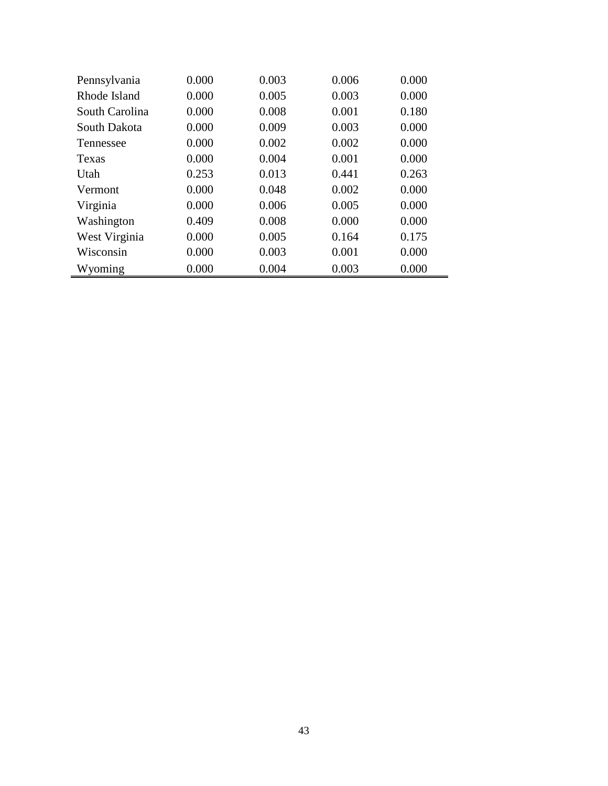| Pennsylvania   | 0.000 | 0.003 | 0.006 | 0.000 |
|----------------|-------|-------|-------|-------|
| Rhode Island   | 0.000 | 0.005 | 0.003 | 0.000 |
| South Carolina | 0.000 | 0.008 | 0.001 | 0.180 |
| South Dakota   | 0.000 | 0.009 | 0.003 | 0.000 |
| Tennessee      | 0.000 | 0.002 | 0.002 | 0.000 |
| Texas          | 0.000 | 0.004 | 0.001 | 0.000 |
| Utah           | 0.253 | 0.013 | 0.441 | 0.263 |
| Vermont        | 0.000 | 0.048 | 0.002 | 0.000 |
| Virginia       | 0.000 | 0.006 | 0.005 | 0.000 |
| Washington     | 0.409 | 0.008 | 0.000 | 0.000 |
| West Virginia  | 0.000 | 0.005 | 0.164 | 0.175 |
| Wisconsin      | 0.000 | 0.003 | 0.001 | 0.000 |
| Wyoming        | 0.000 | 0.004 | 0.003 | 0.000 |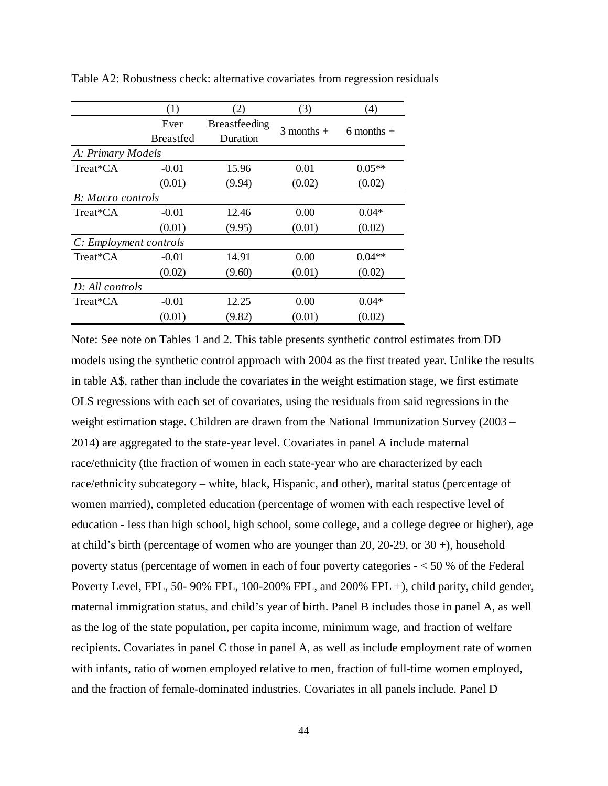|                           | (1)              | (2)                  | (3)            | $\left( 4\right)$ |
|---------------------------|------------------|----------------------|----------------|-------------------|
|                           | Ever             | <b>Breastfeeding</b> |                |                   |
|                           | <b>Breastfed</b> | Duration             | $3$ months $+$ | 6 months $+$      |
| A: Primary Models         |                  |                      |                |                   |
| Treat*CA                  | $-0.01$          | 15.96                | 0.01           | $0.05**$          |
|                           | (0.01)           | (9.94)               | (0.02)         | (0.02)            |
| <b>B</b> : Macro controls |                  |                      |                |                   |
| Treat*CA                  | $-0.01$          | 12.46                | 0.00           | $0.04*$           |
|                           | (0.01)           | (9.95)               | (0.01)         | (0.02)            |
| C: Employment controls    |                  |                      |                |                   |
| Treat*CA                  | $-0.01$          | 14.91                | 0.00           | $0.04**$          |
|                           | (0.02)           | (9.60)               | (0.01)         | (0.02)            |
| D: All controls           |                  |                      |                |                   |
| Treat*CA                  | $-0.01$          | 12.25                | 0.00           | $0.04*$           |
|                           | (0.01)           | (9.82)               | (0.01)         | (0.02)            |

Table A2: Robustness check: alternative covariates from regression residuals

Note: See note on Tables 1 and 2. This table presents synthetic control estimates from DD models using the synthetic control approach with 2004 as the first treated year. Unlike the results in table A\$, rather than include the covariates in the weight estimation stage, we first estimate OLS regressions with each set of covariates, using the residuals from said regressions in the weight estimation stage. Children are drawn from the National Immunization Survey (2003 – 2014) are aggregated to the state-year level. Covariates in panel A include maternal race/ethnicity (the fraction of women in each state-year who are characterized by each race/ethnicity subcategory – white, black, Hispanic, and other), marital status (percentage of women married), completed education (percentage of women with each respective level of education - less than high school, high school, some college, and a college degree or higher), age at child's birth (percentage of women who are younger than 20, 20-29, or  $30 +$ ), household poverty status (percentage of women in each of four poverty categories - < 50 % of the Federal Poverty Level, FPL, 50- 90% FPL, 100-200% FPL, and 200% FPL +), child parity, child gender, maternal immigration status, and child's year of birth. Panel B includes those in panel A, as well as the log of the state population, per capita income, minimum wage, and fraction of welfare recipients. Covariates in panel C those in panel A, as well as include employment rate of women with infants, ratio of women employed relative to men, fraction of full-time women employed, and the fraction of female-dominated industries. Covariates in all panels include. Panel D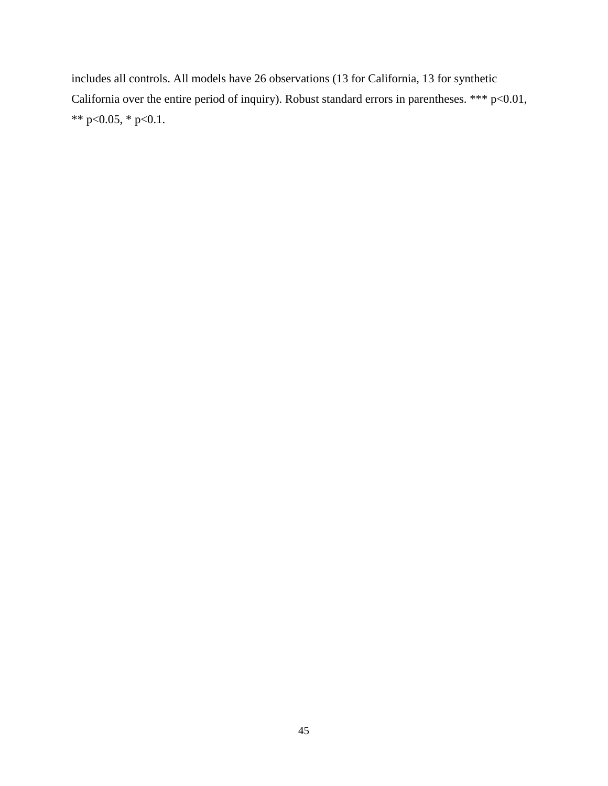includes all controls. All models have 26 observations (13 for California, 13 for synthetic California over the entire period of inquiry). Robust standard errors in parentheses. \*\*\* p<0.01, \*\* p<0.05, \* p<0.1.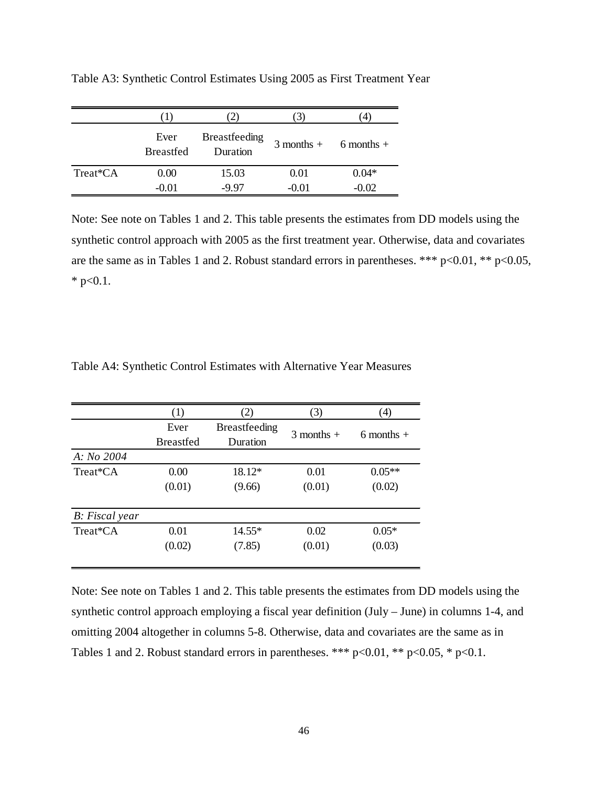|          | . 1 .                    |                                  | J)      |                         |
|----------|--------------------------|----------------------------------|---------|-------------------------|
|          | Ever<br><b>Breastfed</b> | <b>Breastfeeding</b><br>Duration |         | $3$ months + 6 months + |
| Treat*CA | 0.00                     | 15.03                            | 0.01    | $0.04*$                 |
|          | $-0.01$                  | -9.97                            | $-0.01$ | $-0.02$                 |

Table A3: Synthetic Control Estimates Using 2005 as First Treatment Year

Note: See note on Tables 1 and 2. This table presents the estimates from DD models using the synthetic control approach with 2005 as the first treatment year. Otherwise, data and covariates are the same as in Tables 1 and 2. Robust standard errors in parentheses. \*\*\*  $p<0.01$ , \*\*  $p<0.05$ , \*  $p<0.1$ .

|                        | (1)              | (2)                  | (3)            | (4)          |
|------------------------|------------------|----------------------|----------------|--------------|
|                        | Ever             | <b>Breastfeeding</b> | $3$ months $+$ |              |
|                        | <b>Breastfed</b> | Duration             |                | 6 months $+$ |
| A: No 2004             |                  |                      |                |              |
| Treat*CA               | 0.00             | 18.12*               | 0.01           | $0.05**$     |
|                        | (0.01)           | (9.66)               | (0.01)         | (0.02)       |
| <b>B</b> : Fiscal year |                  |                      |                |              |
| Treat*CA               | 0.01             | $14.55*$             | 0.02           | $0.05*$      |
|                        | (0.02)           | (7.85)               | (0.01)         | (0.03)       |

Table A4: Synthetic Control Estimates with Alternative Year Measures

Note: See note on Tables 1 and 2. This table presents the estimates from DD models using the synthetic control approach employing a fiscal year definition (July – June) in columns 1-4, and omitting 2004 altogether in columns 5-8. Otherwise, data and covariates are the same as in Tables 1 and 2. Robust standard errors in parentheses. \*\*\*  $p<0.01$ , \*\*  $p<0.05$ , \*  $p<0.1$ .